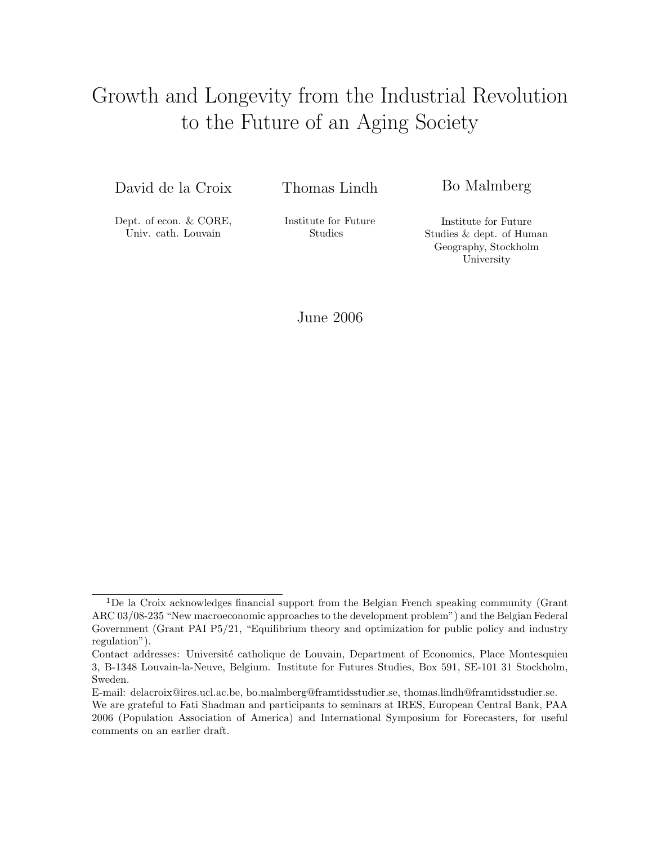# Growth and Longevity from the Industrial Revolution to the Future of an Aging Society

David de la Croix

Thomas Lindh

Bo Malmberg

Dept. of econ. & CORE, Univ. cath. Louvain

Institute for Future Studies

Institute for Future Studies & dept. of Human Geography, Stockholm University

June 2006

<sup>1</sup>De la Croix acknowledges financial support from the Belgian French speaking community (Grant ARC 03/08-235 "New macroeconomic approaches to the development problem") and the Belgian Federal Government (Grant PAI P5/21, "Equilibrium theory and optimization for public policy and industry regulation").

Contact addresses: Université catholique de Louvain, Department of Economics, Place Montesquieu 3, B-1348 Louvain-la-Neuve, Belgium. Institute for Futures Studies, Box 591, SE-101 31 Stockholm, Sweden.

E-mail: delacroix@ires.ucl.ac.be, bo.malmberg@framtidsstudier.se, thomas.lindh@framtidsstudier.se. We are grateful to Fati Shadman and participants to seminars at IRES, European Central Bank, PAA 2006 (Population Association of America) and International Symposium for Forecasters, for useful comments on an earlier draft.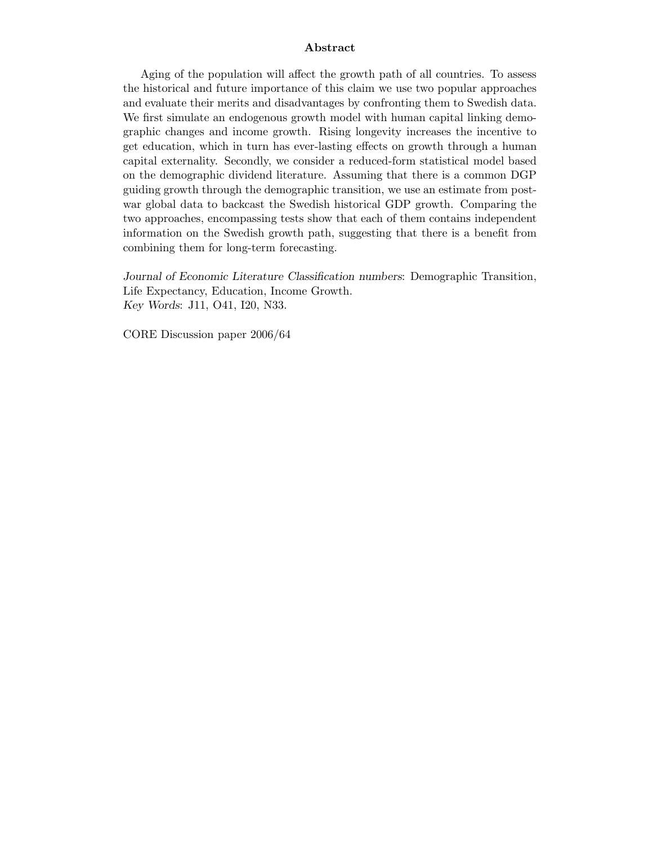#### Abstract

Aging of the population will affect the growth path of all countries. To assess the historical and future importance of this claim we use two popular approaches and evaluate their merits and disadvantages by confronting them to Swedish data. We first simulate an endogenous growth model with human capital linking demographic changes and income growth. Rising longevity increases the incentive to get education, which in turn has ever-lasting effects on growth through a human capital externality. Secondly, we consider a reduced-form statistical model based on the demographic dividend literature. Assuming that there is a common DGP guiding growth through the demographic transition, we use an estimate from postwar global data to backcast the Swedish historical GDP growth. Comparing the two approaches, encompassing tests show that each of them contains independent information on the Swedish growth path, suggesting that there is a benefit from combining them for long-term forecasting.

Journal of Economic Literature Classification numbers: Demographic Transition, Life Expectancy, Education, Income Growth. Key Words: J11, O41, I20, N33.

CORE Discussion paper 2006/64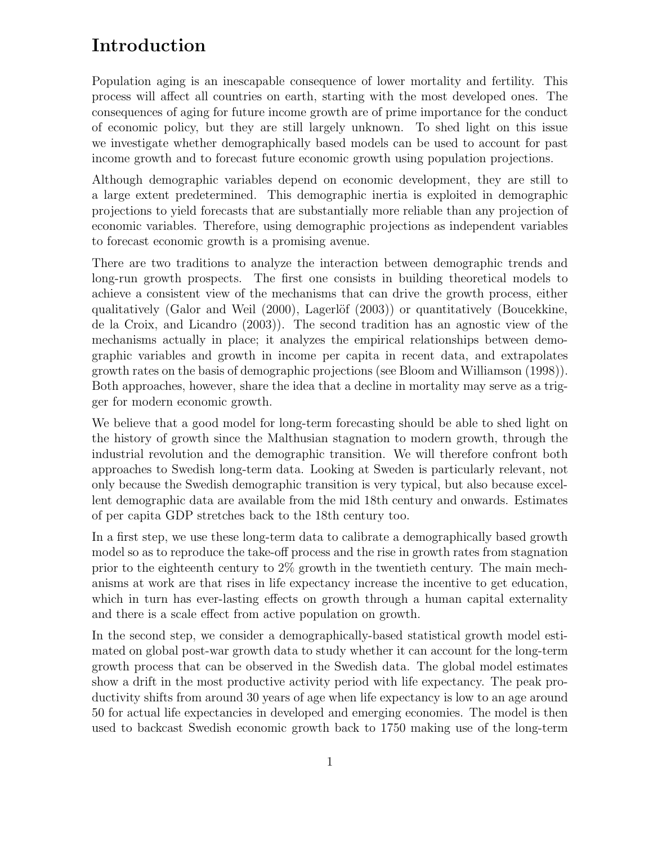# Introduction

Population aging is an inescapable consequence of lower mortality and fertility. This process will affect all countries on earth, starting with the most developed ones. The consequences of aging for future income growth are of prime importance for the conduct of economic policy, but they are still largely unknown. To shed light on this issue we investigate whether demographically based models can be used to account for past income growth and to forecast future economic growth using population projections.

Although demographic variables depend on economic development, they are still to a large extent predetermined. This demographic inertia is exploited in demographic projections to yield forecasts that are substantially more reliable than any projection of economic variables. Therefore, using demographic projections as independent variables to forecast economic growth is a promising avenue.

There are two traditions to analyze the interaction between demographic trends and long-run growth prospects. The first one consists in building theoretical models to achieve a consistent view of the mechanisms that can drive the growth process, either qualitatively (Galor and Weil  $(2000)$ , Lagerlöf  $(2003)$ ) or quantitatively (Boucekkine, de la Croix, and Licandro (2003)). The second tradition has an agnostic view of the mechanisms actually in place; it analyzes the empirical relationships between demographic variables and growth in income per capita in recent data, and extrapolates growth rates on the basis of demographic projections (see Bloom and Williamson (1998)). Both approaches, however, share the idea that a decline in mortality may serve as a trigger for modern economic growth.

We believe that a good model for long-term forecasting should be able to shed light on the history of growth since the Malthusian stagnation to modern growth, through the industrial revolution and the demographic transition. We will therefore confront both approaches to Swedish long-term data. Looking at Sweden is particularly relevant, not only because the Swedish demographic transition is very typical, but also because excellent demographic data are available from the mid 18th century and onwards. Estimates of per capita GDP stretches back to the 18th century too.

In a first step, we use these long-term data to calibrate a demographically based growth model so as to reproduce the take-off process and the rise in growth rates from stagnation prior to the eighteenth century to 2% growth in the twentieth century. The main mechanisms at work are that rises in life expectancy increase the incentive to get education, which in turn has ever-lasting effects on growth through a human capital externality and there is a scale effect from active population on growth.

In the second step, we consider a demographically-based statistical growth model estimated on global post-war growth data to study whether it can account for the long-term growth process that can be observed in the Swedish data. The global model estimates show a drift in the most productive activity period with life expectancy. The peak productivity shifts from around 30 years of age when life expectancy is low to an age around 50 for actual life expectancies in developed and emerging economies. The model is then used to backcast Swedish economic growth back to 1750 making use of the long-term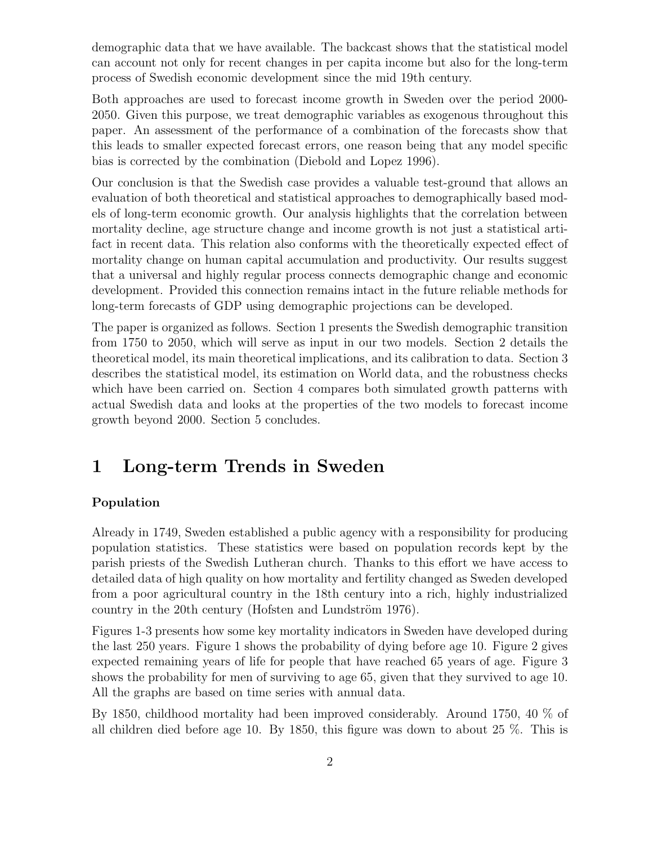demographic data that we have available. The backcast shows that the statistical model can account not only for recent changes in per capita income but also for the long-term process of Swedish economic development since the mid 19th century.

Both approaches are used to forecast income growth in Sweden over the period 2000- 2050. Given this purpose, we treat demographic variables as exogenous throughout this paper. An assessment of the performance of a combination of the forecasts show that this leads to smaller expected forecast errors, one reason being that any model specific bias is corrected by the combination (Diebold and Lopez 1996).

Our conclusion is that the Swedish case provides a valuable test-ground that allows an evaluation of both theoretical and statistical approaches to demographically based models of long-term economic growth. Our analysis highlights that the correlation between mortality decline, age structure change and income growth is not just a statistical artifact in recent data. This relation also conforms with the theoretically expected effect of mortality change on human capital accumulation and productivity. Our results suggest that a universal and highly regular process connects demographic change and economic development. Provided this connection remains intact in the future reliable methods for long-term forecasts of GDP using demographic projections can be developed.

The paper is organized as follows. Section 1 presents the Swedish demographic transition from 1750 to 2050, which will serve as input in our two models. Section 2 details the theoretical model, its main theoretical implications, and its calibration to data. Section 3 describes the statistical model, its estimation on World data, and the robustness checks which have been carried on. Section 4 compares both simulated growth patterns with actual Swedish data and looks at the properties of the two models to forecast income growth beyond 2000. Section 5 concludes.

# 1 Long-term Trends in Sweden

#### Population

Already in 1749, Sweden established a public agency with a responsibility for producing population statistics. These statistics were based on population records kept by the parish priests of the Swedish Lutheran church. Thanks to this effort we have access to detailed data of high quality on how mortality and fertility changed as Sweden developed from a poor agricultural country in the 18th century into a rich, highly industrialized country in the 20th century (Hofsten and Lundström 1976).

Figures 1-3 presents how some key mortality indicators in Sweden have developed during the last 250 years. Figure 1 shows the probability of dying before age 10. Figure 2 gives expected remaining years of life for people that have reached 65 years of age. Figure 3 shows the probability for men of surviving to age 65, given that they survived to age 10. All the graphs are based on time series with annual data.

By 1850, childhood mortality had been improved considerably. Around 1750, 40 % of all children died before age 10. By 1850, this figure was down to about 25 %. This is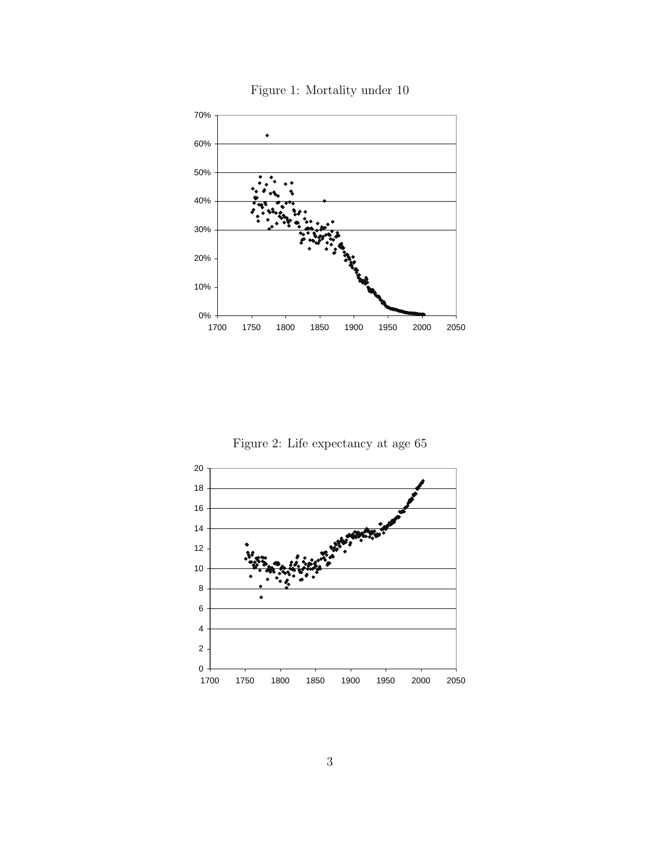

Figure 1: Mortality under 10

Figure 2: Life expectancy at age 65

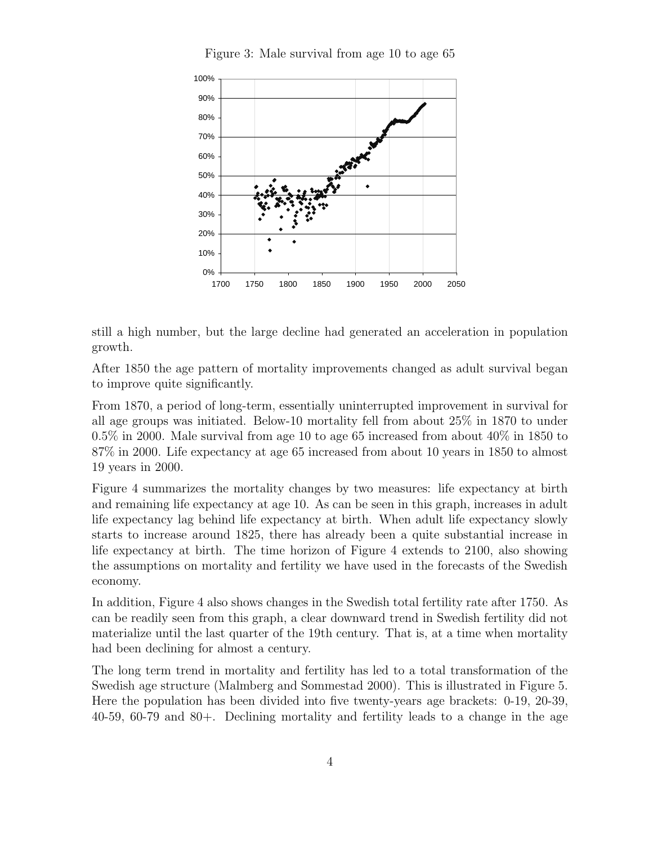

Figure 3: Male survival from age 10 to age 65

still a high number, but the large decline had generated an acceleration in population growth.

After 1850 the age pattern of mortality improvements changed as adult survival began to improve quite significantly.

From 1870, a period of long-term, essentially uninterrupted improvement in survival for all age groups was initiated. Below-10 mortality fell from about 25% in 1870 to under  $0.5\%$  in 2000. Male survival from age 10 to age 65 increased from about  $40\%$  in 1850 to 87% in 2000. Life expectancy at age 65 increased from about 10 years in 1850 to almost 19 years in 2000.

Figure 4 summarizes the mortality changes by two measures: life expectancy at birth and remaining life expectancy at age 10. As can be seen in this graph, increases in adult life expectancy lag behind life expectancy at birth. When adult life expectancy slowly starts to increase around 1825, there has already been a quite substantial increase in life expectancy at birth. The time horizon of Figure 4 extends to 2100, also showing the assumptions on mortality and fertility we have used in the forecasts of the Swedish economy.

In addition, Figure 4 also shows changes in the Swedish total fertility rate after 1750. As can be readily seen from this graph, a clear downward trend in Swedish fertility did not materialize until the last quarter of the 19th century. That is, at a time when mortality had been declining for almost a century.

The long term trend in mortality and fertility has led to a total transformation of the Swedish age structure (Malmberg and Sommestad 2000). This is illustrated in Figure 5. Here the population has been divided into five twenty-years age brackets: 0-19, 20-39, 40-59, 60-79 and 80+. Declining mortality and fertility leads to a change in the age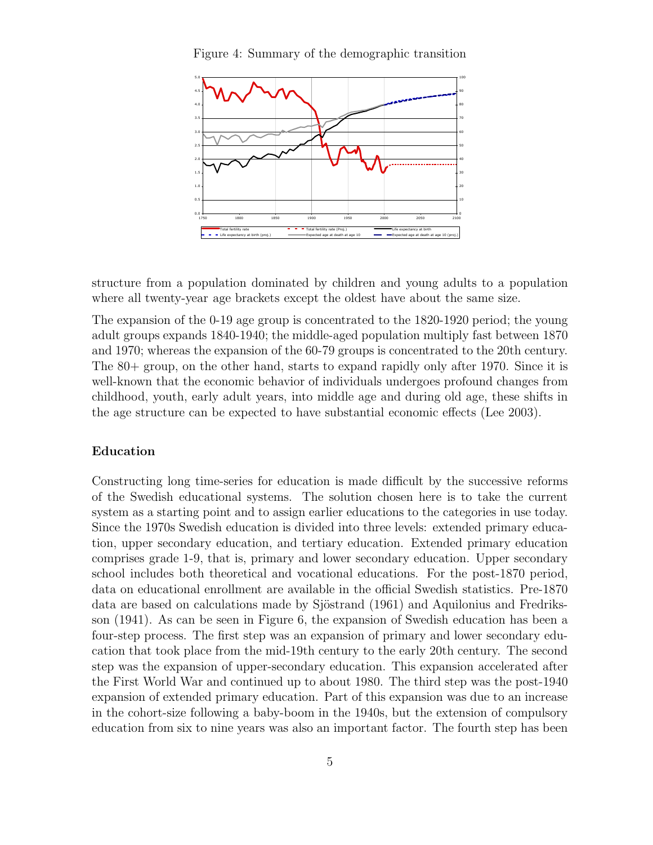

Figure 4: Summary of the demographic transition

structure from a population dominated by children and young adults to a population where all twenty-year age brackets except the oldest have about the same size.

The expansion of the 0-19 age group is concentrated to the 1820-1920 period; the young adult groups expands 1840-1940; the middle-aged population multiply fast between 1870 and 1970; whereas the expansion of the 60-79 groups is concentrated to the 20th century. The 80+ group, on the other hand, starts to expand rapidly only after 1970. Since it is well-known that the economic behavior of individuals undergoes profound changes from childhood, youth, early adult years, into middle age and during old age, these shifts in the age structure can be expected to have substantial economic effects (Lee 2003).

#### Education

Constructing long time-series for education is made difficult by the successive reforms of the Swedish educational systems. The solution chosen here is to take the current system as a starting point and to assign earlier educations to the categories in use today. Since the 1970s Swedish education is divided into three levels: extended primary education, upper secondary education, and tertiary education. Extended primary education comprises grade 1-9, that is, primary and lower secondary education. Upper secondary school includes both theoretical and vocational educations. For the post-1870 period, data on educational enrollment are available in the official Swedish statistics. Pre-1870 data are based on calculations made by Sjöstrand (1961) and Aquilonius and Fredriksson (1941). As can be seen in Figure 6, the expansion of Swedish education has been a four-step process. The first step was an expansion of primary and lower secondary education that took place from the mid-19th century to the early 20th century. The second step was the expansion of upper-secondary education. This expansion accelerated after the First World War and continued up to about 1980. The third step was the post-1940 expansion of extended primary education. Part of this expansion was due to an increase in the cohort-size following a baby-boom in the 1940s, but the extension of compulsory education from six to nine years was also an important factor. The fourth step has been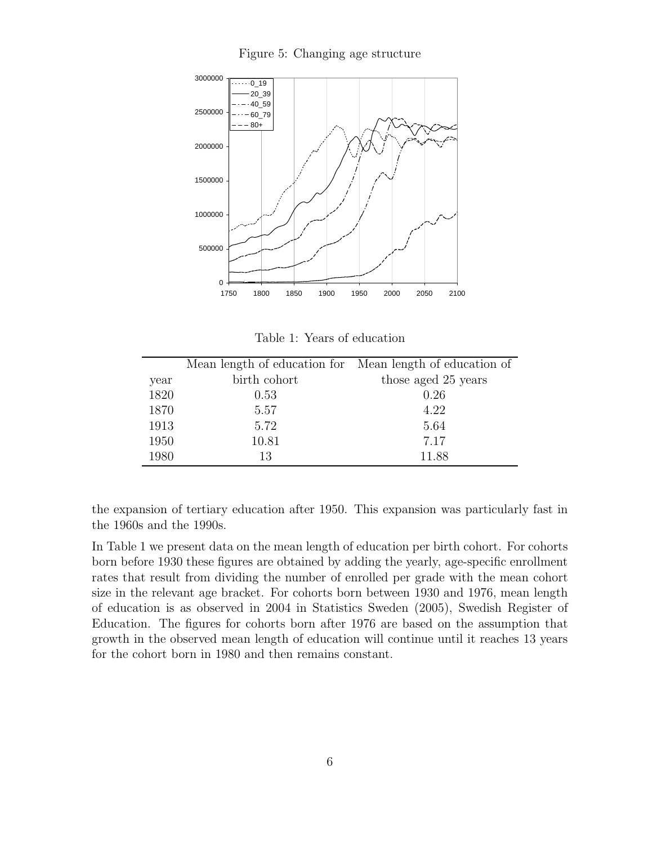



Table 1: Years of education

|      | Mean length of education for Mean length of education of |                     |
|------|----------------------------------------------------------|---------------------|
| year | birth cohort                                             | those aged 25 years |
| 1820 | 0.53                                                     | 0.26                |
| 1870 | 5.57                                                     | 4.22                |
| 1913 | 5.72                                                     | 5.64                |
| 1950 | 10.81                                                    | 7.17                |
| 1980 | 13                                                       | 11.88               |

the expansion of tertiary education after 1950. This expansion was particularly fast in the 1960s and the 1990s.

In Table 1 we present data on the mean length of education per birth cohort. For cohorts born before 1930 these figures are obtained by adding the yearly, age-specific enrollment rates that result from dividing the number of enrolled per grade with the mean cohort size in the relevant age bracket. For cohorts born between 1930 and 1976, mean length of education is as observed in 2004 in Statistics Sweden (2005), Swedish Register of Education. The figures for cohorts born after 1976 are based on the assumption that growth in the observed mean length of education will continue until it reaches 13 years for the cohort born in 1980 and then remains constant.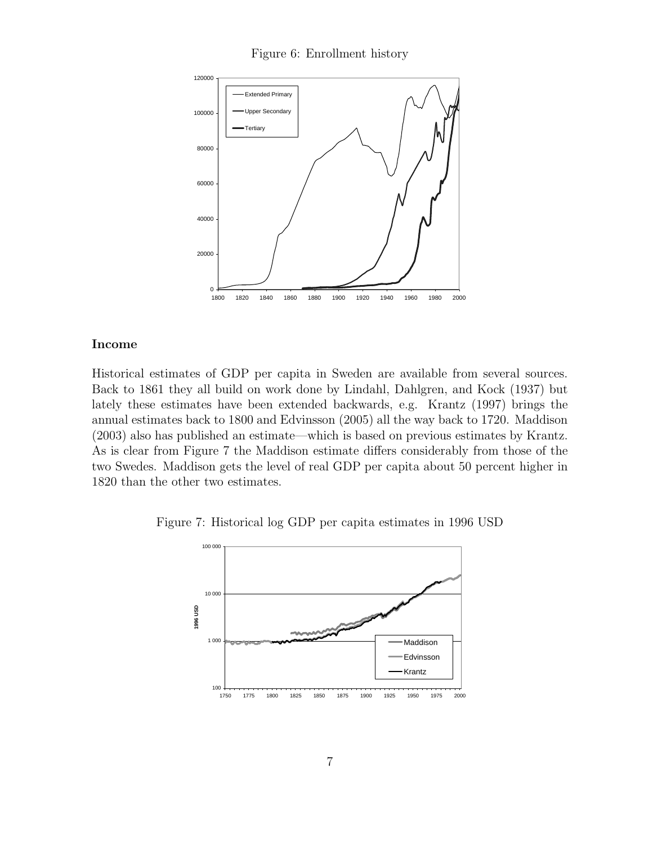Figure 6: Enrollment history



#### Income

Historical estimates of GDP per capita in Sweden are available from several sources. Back to 1861 they all build on work done by Lindahl, Dahlgren, and Kock (1937) but lately these estimates have been extended backwards, e.g. Krantz (1997) brings the annual estimates back to 1800 and Edvinsson (2005) all the way back to 1720. Maddison (2003) also has published an estimate—which is based on previous estimates by Krantz. As is clear from Figure 7 the Maddison estimate differs considerably from those of the two Swedes. Maddison gets the level of real GDP per capita about 50 percent higher in 1820 than the other two estimates.

Figure 7: Historical log GDP per capita estimates in 1996 USD

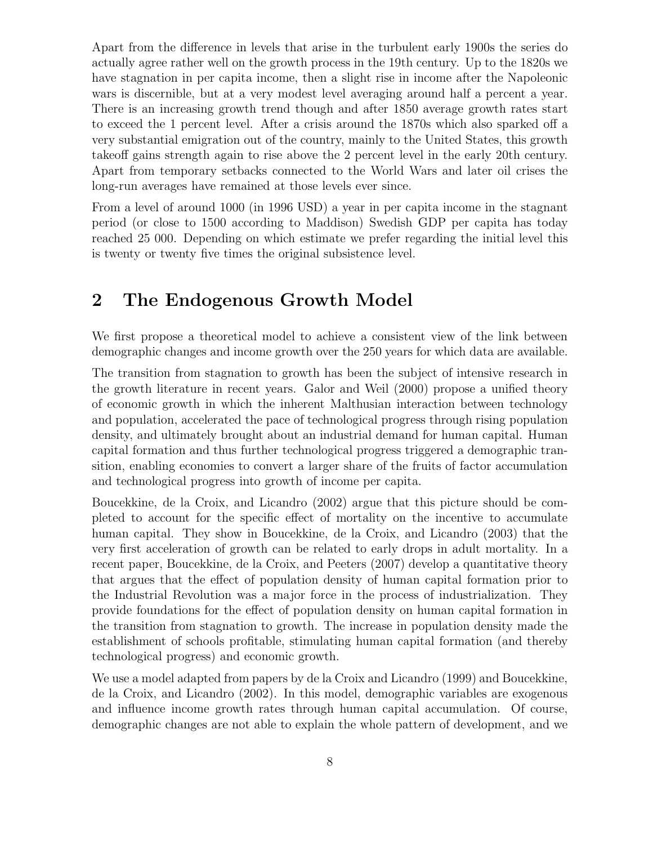Apart from the difference in levels that arise in the turbulent early 1900s the series do actually agree rather well on the growth process in the 19th century. Up to the 1820s we have stagnation in per capita income, then a slight rise in income after the Napoleonic wars is discernible, but at a very modest level averaging around half a percent a year. There is an increasing growth trend though and after 1850 average growth rates start to exceed the 1 percent level. After a crisis around the 1870s which also sparked off a very substantial emigration out of the country, mainly to the United States, this growth takeoff gains strength again to rise above the 2 percent level in the early 20th century. Apart from temporary setbacks connected to the World Wars and later oil crises the long-run averages have remained at those levels ever since.

From a level of around 1000 (in 1996 USD) a year in per capita income in the stagnant period (or close to 1500 according to Maddison) Swedish GDP per capita has today reached 25 000. Depending on which estimate we prefer regarding the initial level this is twenty or twenty five times the original subsistence level.

# 2 The Endogenous Growth Model

We first propose a theoretical model to achieve a consistent view of the link between demographic changes and income growth over the 250 years for which data are available.

The transition from stagnation to growth has been the subject of intensive research in the growth literature in recent years. Galor and Weil (2000) propose a unified theory of economic growth in which the inherent Malthusian interaction between technology and population, accelerated the pace of technological progress through rising population density, and ultimately brought about an industrial demand for human capital. Human capital formation and thus further technological progress triggered a demographic transition, enabling economies to convert a larger share of the fruits of factor accumulation and technological progress into growth of income per capita.

Boucekkine, de la Croix, and Licandro (2002) argue that this picture should be completed to account for the specific effect of mortality on the incentive to accumulate human capital. They show in Boucekkine, de la Croix, and Licandro (2003) that the very first acceleration of growth can be related to early drops in adult mortality. In a recent paper, Boucekkine, de la Croix, and Peeters (2007) develop a quantitative theory that argues that the effect of population density of human capital formation prior to the Industrial Revolution was a major force in the process of industrialization. They provide foundations for the effect of population density on human capital formation in the transition from stagnation to growth. The increase in population density made the establishment of schools profitable, stimulating human capital formation (and thereby technological progress) and economic growth.

We use a model adapted from papers by de la Croix and Licandro (1999) and Boucekkine, de la Croix, and Licandro (2002). In this model, demographic variables are exogenous and influence income growth rates through human capital accumulation. Of course, demographic changes are not able to explain the whole pattern of development, and we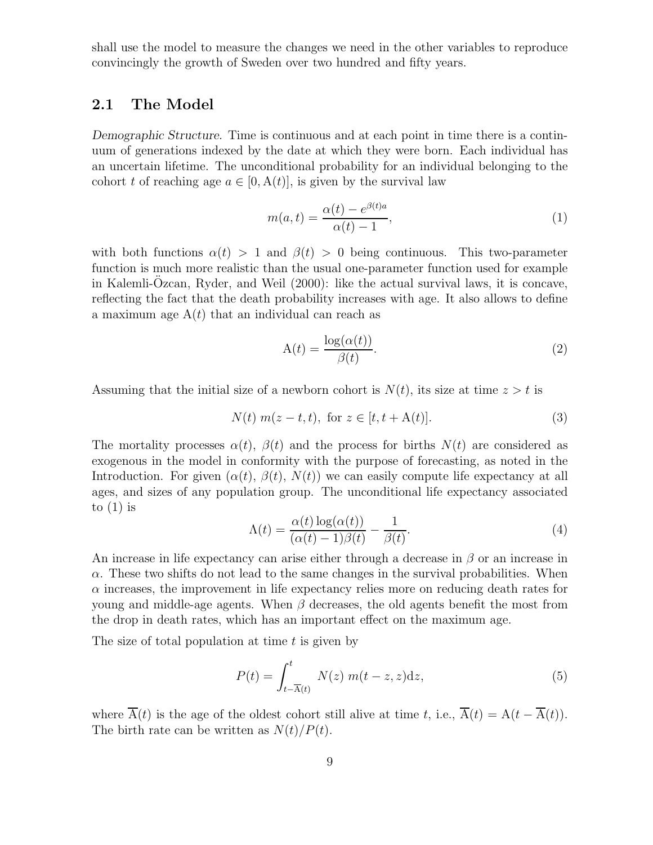shall use the model to measure the changes we need in the other variables to reproduce convincingly the growth of Sweden over two hundred and fifty years.

### 2.1 The Model

Demographic Structure. Time is continuous and at each point in time there is a continuum of generations indexed by the date at which they were born. Each individual has an uncertain lifetime. The unconditional probability for an individual belonging to the cohort t of reaching age  $a \in [0, A(t)]$ , is given by the survival law

$$
m(a,t) = \frac{\alpha(t) - e^{\beta(t)a}}{\alpha(t) - 1},
$$
\n(1)

with both functions  $\alpha(t) > 1$  and  $\beta(t) > 0$  being continuous. This two-parameter function is much more realistic than the usual one-parameter function used for example in Kalemli-Ozcan, Ryder, and Weil  $(2000)$ : like the actual survival laws, it is concave, reflecting the fact that the death probability increases with age. It also allows to define a maximum age  $A(t)$  that an individual can reach as

$$
A(t) = \frac{\log(\alpha(t))}{\beta(t)}.
$$
\n(2)

Assuming that the initial size of a newborn cohort is  $N(t)$ , its size at time  $z > t$  is

$$
N(t) m(z-t, t), \text{ for } z \in [t, t + A(t)]. \tag{3}
$$

The mortality processes  $\alpha(t)$ ,  $\beta(t)$  and the process for births  $N(t)$  are considered as exogenous in the model in conformity with the purpose of forecasting, as noted in the Introduction. For given  $(\alpha(t), \beta(t), N(t))$  we can easily compute life expectancy at all ages, and sizes of any population group. The unconditional life expectancy associated to  $(1)$  is

$$
\Lambda(t) = \frac{\alpha(t)\log(\alpha(t))}{(\alpha(t) - 1)\beta(t)} - \frac{1}{\beta(t)}.
$$
\n(4)

An increase in life expectancy can arise either through a decrease in  $\beta$  or an increase in  $\alpha$ . These two shifts do not lead to the same changes in the survival probabilities. When  $\alpha$  increases, the improvement in life expectancy relies more on reducing death rates for young and middle-age agents. When  $\beta$  decreases, the old agents benefit the most from the drop in death rates, which has an important effect on the maximum age.

The size of total population at time  $t$  is given by

$$
P(t) = \int_{t-\overline{A}(t)}^{t} N(z) m(t-z, z) dz,
$$
\n(5)

where  $\overline{A}(t)$  is the age of the oldest cohort still alive at time t, i.e.,  $\overline{A}(t) = A(t - \overline{A}(t)).$ The birth rate can be written as  $N(t)/P(t)$ .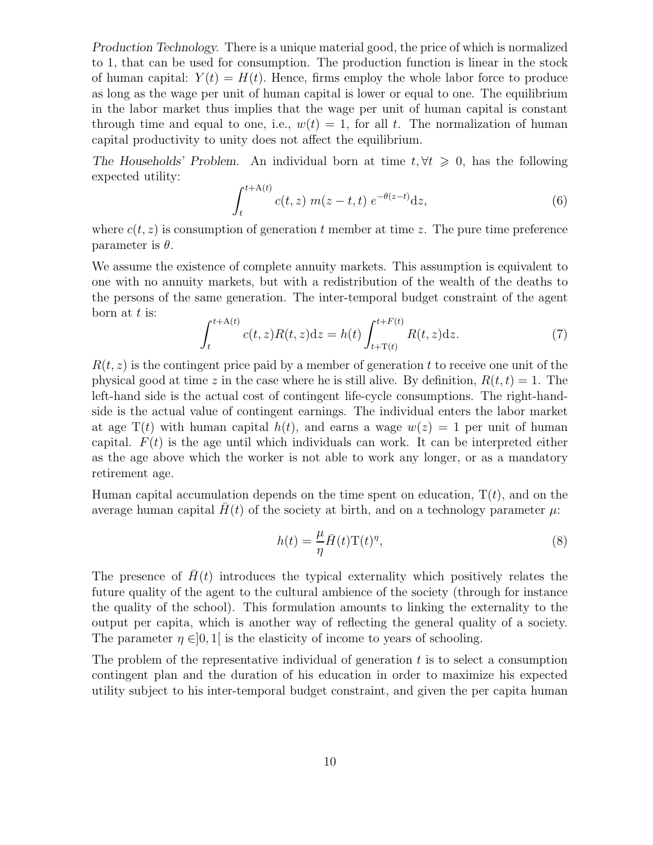Production Technology. There is a unique material good, the price of which is normalized to 1, that can be used for consumption. The production function is linear in the stock of human capital:  $Y(t) = H(t)$ . Hence, firms employ the whole labor force to produce as long as the wage per unit of human capital is lower or equal to one. The equilibrium in the labor market thus implies that the wage per unit of human capital is constant through time and equal to one, i.e.,  $w(t) = 1$ , for all t. The normalization of human capital productivity to unity does not affect the equilibrium.

The Households' Problem. An individual born at time  $t, \forall t \geq 0$ , has the following expected utility:

$$
\int_{t}^{t+A(t)} c(t,z) \; m(z-t,t) \; e^{-\theta(z-t)} \mathrm{d}z, \tag{6}
$$

where  $c(t, z)$  is consumption of generation t member at time z. The pure time preference parameter is  $\theta$ .

We assume the existence of complete annuity markets. This assumption is equivalent to one with no annuity markets, but with a redistribution of the wealth of the deaths to the persons of the same generation. The inter-temporal budget constraint of the agent born at  $t$  is:

$$
\int_{t}^{t+A(t)} c(t,z)R(t,z)dz = h(t)\int_{t+T(t)}^{t+F(t)} R(t,z)dz.
$$
 (7)

 $R(t, z)$  is the contingent price paid by a member of generation t to receive one unit of the physical good at time z in the case where he is still alive. By definition,  $R(t, t) = 1$ . The left-hand side is the actual cost of contingent life-cycle consumptions. The right-handside is the actual value of contingent earnings. The individual enters the labor market at age  $T(t)$  with human capital  $h(t)$ , and earns a wage  $w(z) = 1$  per unit of human capital.  $F(t)$  is the age until which individuals can work. It can be interpreted either as the age above which the worker is not able to work any longer, or as a mandatory retirement age.

Human capital accumulation depends on the time spent on education,  $T(t)$ , and on the average human capital  $H(t)$  of the society at birth, and on a technology parameter  $\mu$ :

$$
h(t) = \frac{\mu}{\eta} \bar{H}(t) \mathcal{T}(t)^{\eta},\tag{8}
$$

The presence of  $\bar{H}(t)$  introduces the typical externality which positively relates the future quality of the agent to the cultural ambience of the society (through for instance the quality of the school). This formulation amounts to linking the externality to the output per capita, which is another way of reflecting the general quality of a society. The parameter  $\eta \in ]0,1[$  is the elasticity of income to years of schooling.

The problem of the representative individual of generation  $t$  is to select a consumption contingent plan and the duration of his education in order to maximize his expected utility subject to his inter-temporal budget constraint, and given the per capita human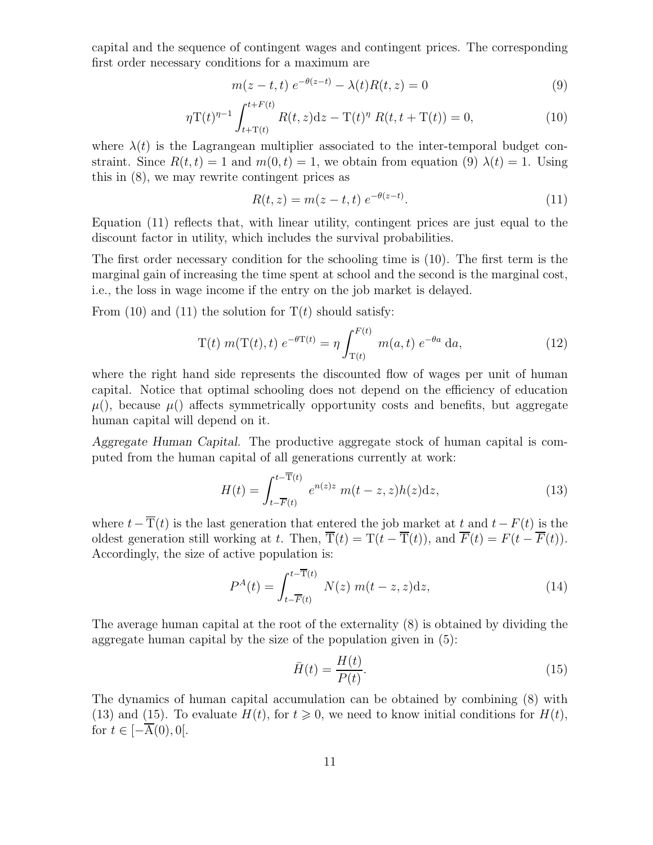capital and the sequence of contingent wages and contingent prices. The corresponding first order necessary conditions for a maximum are

$$
m(z-t,t) e^{-\theta(z-t)} - \lambda(t)R(t,z) = 0
$$
\n(9)

$$
\eta \mathcal{T}(t)^{\eta-1} \int_{t+\mathcal{T}(t)}^{t+F(t)} R(t,z) \, \mathrm{d}z - \mathcal{T}(t)^{\eta} \, R(t,t+\mathcal{T}(t)) = 0,\tag{10}
$$

where  $\lambda(t)$  is the Lagrangean multiplier associated to the inter-temporal budget constraint. Since  $R(t, t) = 1$  and  $m(0, t) = 1$ , we obtain from equation (9)  $\lambda(t) = 1$ . Using this in (8), we may rewrite contingent prices as

$$
R(t, z) = m(z - t, t) e^{-\theta(z - t)}.
$$
\n(11)

Equation (11) reflects that, with linear utility, contingent prices are just equal to the discount factor in utility, which includes the survival probabilities.

The first order necessary condition for the schooling time is (10). The first term is the marginal gain of increasing the time spent at school and the second is the marginal cost, i.e., the loss in wage income if the entry on the job market is delayed.

From (10) and (11) the solution for  $T(t)$  should satisfy:

$$
T(t) \; m(T(t),t) \; e^{-\theta T(t)} = \eta \int_{T(t)}^{F(t)} m(a,t) \; e^{-\theta a} \; da,\tag{12}
$$

where the right hand side represents the discounted flow of wages per unit of human capital. Notice that optimal schooling does not depend on the efficiency of education  $\mu$ ), because  $\mu$ ) affects symmetrically opportunity costs and benefits, but aggregate human capital will depend on it.

Aggregate Human Capital. The productive aggregate stock of human capital is computed from the human capital of all generations currently at work:

$$
H(t) = \int_{t-\overline{F}(t)}^{t-\overline{T}(t)} e^{n(z)z} m(t-z, z)h(z)dz,
$$
\n(13)

where  $t - \overline{T}(t)$  is the last generation that entered the job market at t and  $t - F(t)$  is the oldest generation still working at t. Then,  $\overline{T}(t) = T(t - \overline{T}(t))$ , and  $\overline{F}(t) = F(t - \overline{F}(t))$ . Accordingly, the size of active population is:

$$
P^{A}(t) = \int_{t-\overline{F}(t)}^{t-\overline{T}(t)} N(z) m(t-z, z) dz,
$$
 (14)

The average human capital at the root of the externality (8) is obtained by dividing the aggregate human capital by the size of the population given in (5):

$$
\bar{H}(t) = \frac{H(t)}{P(t)}.\t(15)
$$

The dynamics of human capital accumulation can be obtained by combining (8) with (13) and (15). To evaluate  $H(t)$ , for  $t \geq 0$ , we need to know initial conditions for  $H(t)$ , for  $t \in [-\overline{A}(0), 0[$ .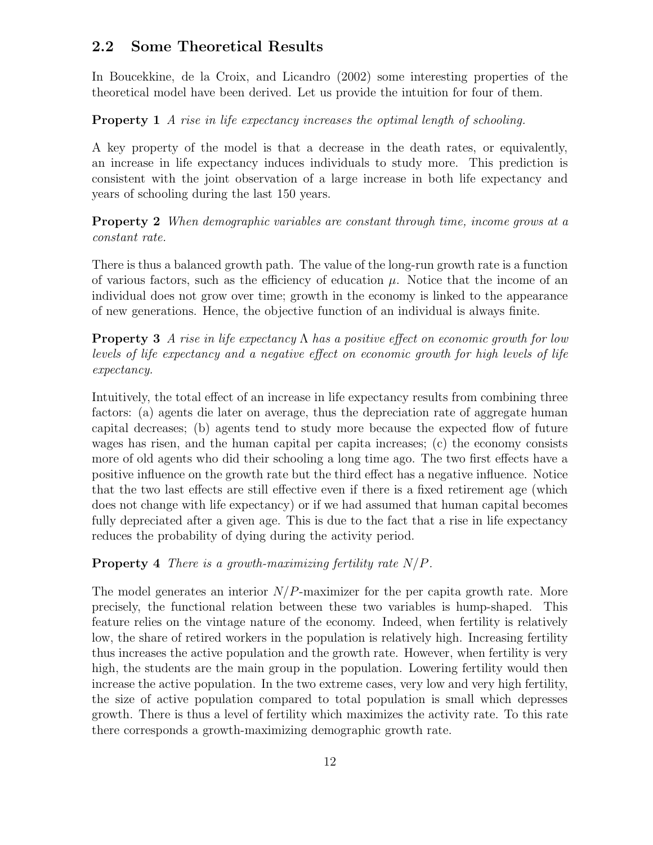### 2.2 Some Theoretical Results

In Boucekkine, de la Croix, and Licandro (2002) some interesting properties of the theoretical model have been derived. Let us provide the intuition for four of them.

**Property 1** A rise in life expectancy increases the optimal length of schooling.

A key property of the model is that a decrease in the death rates, or equivalently, an increase in life expectancy induces individuals to study more. This prediction is consistent with the joint observation of a large increase in both life expectancy and years of schooling during the last 150 years.

**Property 2** When demographic variables are constant through time, income grows at a constant rate.

There is thus a balanced growth path. The value of the long-run growth rate is a function of various factors, such as the efficiency of education  $\mu$ . Notice that the income of an individual does not grow over time; growth in the economy is linked to the appearance of new generations. Hence, the objective function of an individual is always finite.

**Property 3** A rise in life expectancy  $\Lambda$  has a positive effect on economic growth for low levels of life expectancy and a negative effect on economic growth for high levels of life expectancy.

Intuitively, the total effect of an increase in life expectancy results from combining three factors: (a) agents die later on average, thus the depreciation rate of aggregate human capital decreases; (b) agents tend to study more because the expected flow of future wages has risen, and the human capital per capita increases; (c) the economy consists more of old agents who did their schooling a long time ago. The two first effects have a positive influence on the growth rate but the third effect has a negative influence. Notice that the two last effects are still effective even if there is a fixed retirement age (which does not change with life expectancy) or if we had assumed that human capital becomes fully depreciated after a given age. This is due to the fact that a rise in life expectancy reduces the probability of dying during the activity period.

**Property 4** There is a growth-maximizing fertility rate  $N/P$ .

The model generates an interior  $N/P$ -maximizer for the per capita growth rate. More precisely, the functional relation between these two variables is hump-shaped. This feature relies on the vintage nature of the economy. Indeed, when fertility is relatively low, the share of retired workers in the population is relatively high. Increasing fertility thus increases the active population and the growth rate. However, when fertility is very high, the students are the main group in the population. Lowering fertility would then increase the active population. In the two extreme cases, very low and very high fertility, the size of active population compared to total population is small which depresses growth. There is thus a level of fertility which maximizes the activity rate. To this rate there corresponds a growth-maximizing demographic growth rate.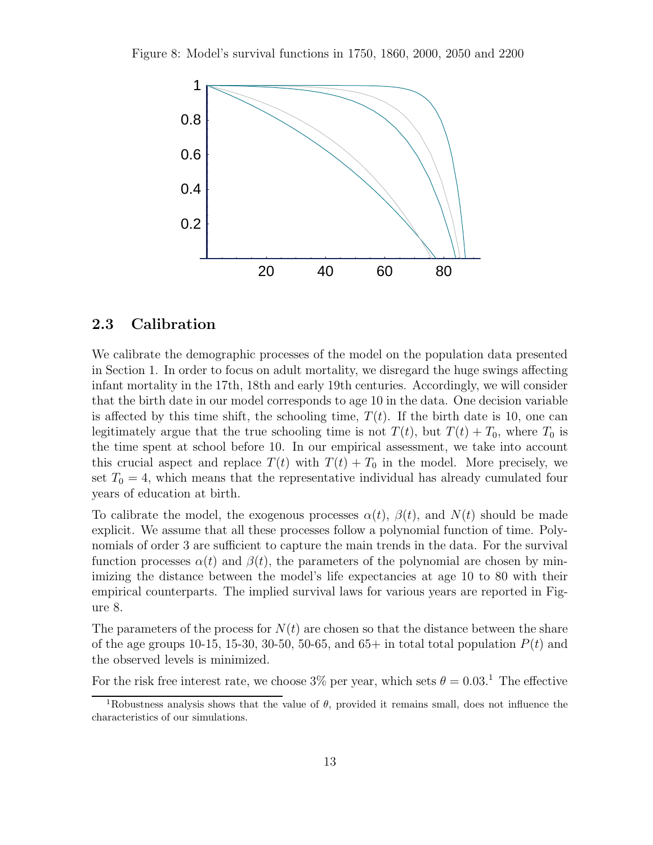Figure 8: Model's survival functions in 1750, 1860, 2000, 2050 and 2200



# 2.3 Calibration

We calibrate the demographic processes of the model on the population data presented in Section 1. In order to focus on adult mortality, we disregard the huge swings affecting infant mortality in the 17th, 18th and early 19th centuries. Accordingly, we will consider that the birth date in our model corresponds to age 10 in the data. One decision variable is affected by this time shift, the schooling time,  $T(t)$ . If the birth date is 10, one can legitimately argue that the true schooling time is not  $T(t)$ , but  $T(t) + T_0$ , where  $T_0$  is the time spent at school before 10. In our empirical assessment, we take into account this crucial aspect and replace  $T(t)$  with  $T(t) + T_0$  in the model. More precisely, we set  $T_0 = 4$ , which means that the representative individual has already cumulated four years of education at birth.

To calibrate the model, the exogenous processes  $\alpha(t)$ ,  $\beta(t)$ , and  $N(t)$  should be made explicit. We assume that all these processes follow a polynomial function of time. Polynomials of order 3 are sufficient to capture the main trends in the data. For the survival function processes  $\alpha(t)$  and  $\beta(t)$ , the parameters of the polynomial are chosen by minimizing the distance between the model's life expectancies at age 10 to 80 with their empirical counterparts. The implied survival laws for various years are reported in Figure 8.

The parameters of the process for  $N(t)$  are chosen so that the distance between the share of the age groups 10-15, 15-30, 30-50, 50-65, and 65+ in total total population  $P(t)$  and the observed levels is minimized.

For the risk free interest rate, we choose 3% per year, which sets  $\theta = 0.03$ .<sup>1</sup> The effective

<sup>&</sup>lt;sup>1</sup>Robustness analysis shows that the value of  $\theta$ , provided it remains small, does not influence the characteristics of our simulations.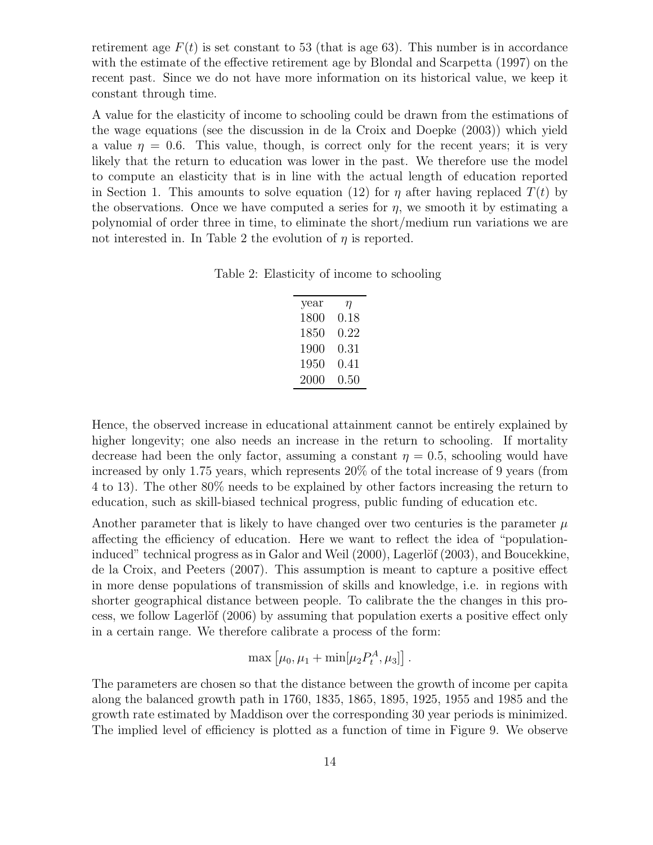retirement age  $F(t)$  is set constant to 53 (that is age 63). This number is in accordance with the estimate of the effective retirement age by Blondal and Scarpetta (1997) on the recent past. Since we do not have more information on its historical value, we keep it constant through time.

A value for the elasticity of income to schooling could be drawn from the estimations of the wage equations (see the discussion in de la Croix and Doepke (2003)) which yield a value  $\eta = 0.6$ . This value, though, is correct only for the recent years; it is very likely that the return to education was lower in the past. We therefore use the model to compute an elasticity that is in line with the actual length of education reported in Section 1. This amounts to solve equation (12) for  $\eta$  after having replaced  $T(t)$  by the observations. Once we have computed a series for  $\eta$ , we smooth it by estimating a polynomial of order three in time, to eliminate the short/medium run variations we are not interested in. In Table 2 the evolution of  $\eta$  is reported.

Table 2: Elasticity of income to schooling

| year | η    |
|------|------|
| 1800 | 0.18 |
| 1850 | 0.22 |
| 1900 | 0.31 |
| 1950 | 0.41 |
| 2000 | 0.50 |
|      |      |

Hence, the observed increase in educational attainment cannot be entirely explained by higher longevity; one also needs an increase in the return to schooling. If mortality decrease had been the only factor, assuming a constant  $\eta = 0.5$ , schooling would have increased by only 1.75 years, which represents 20% of the total increase of 9 years (from 4 to 13). The other 80% needs to be explained by other factors increasing the return to education, such as skill-biased technical progress, public funding of education etc.

Another parameter that is likely to have changed over two centuries is the parameter  $\mu$ affecting the efficiency of education. Here we want to reflect the idea of "populationinduced" technical progress as in Galor and Weil  $(2000)$ , Lagerlöf  $(2003)$ , and Boucekkine, de la Croix, and Peeters (2007). This assumption is meant to capture a positive effect in more dense populations of transmission of skills and knowledge, i.e. in regions with shorter geographical distance between people. To calibrate the the changes in this process, we follow Lagerlöf (2006) by assuming that population exerts a positive effect only in a certain range. We therefore calibrate a process of the form:

$$
\max [\mu_0, \mu_1 + \min[\mu_2 P_t^A, \mu_3]] .
$$

The parameters are chosen so that the distance between the growth of income per capita along the balanced growth path in 1760, 1835, 1865, 1895, 1925, 1955 and 1985 and the growth rate estimated by Maddison over the corresponding 30 year periods is minimized. The implied level of efficiency is plotted as a function of time in Figure 9. We observe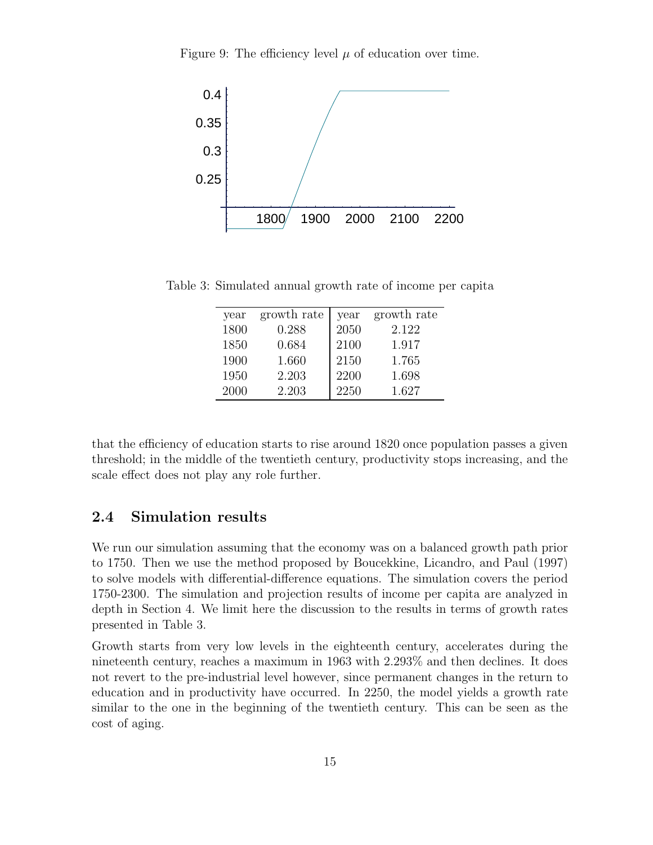Figure 9: The efficiency level  $\mu$  of education over time.



Table 3: Simulated annual growth rate of income per capita

| year | growth rate | year | growth rate |
|------|-------------|------|-------------|
| 1800 | 0.288       | 2050 | 2.122       |
| 1850 | 0.684       | 2100 | 1.917       |
| 1900 | 1.660       | 2150 | 1.765       |
| 1950 | 2.203       | 2200 | 1.698       |
| 2000 | 2.203       | 2250 | 1.627       |

that the efficiency of education starts to rise around 1820 once population passes a given threshold; in the middle of the twentieth century, productivity stops increasing, and the scale effect does not play any role further.

### 2.4 Simulation results

We run our simulation assuming that the economy was on a balanced growth path prior to 1750. Then we use the method proposed by Boucekkine, Licandro, and Paul (1997) to solve models with differential-difference equations. The simulation covers the period 1750-2300. The simulation and projection results of income per capita are analyzed in depth in Section 4. We limit here the discussion to the results in terms of growth rates presented in Table 3.

Growth starts from very low levels in the eighteenth century, accelerates during the nineteenth century, reaches a maximum in 1963 with 2.293% and then declines. It does not revert to the pre-industrial level however, since permanent changes in the return to education and in productivity have occurred. In 2250, the model yields a growth rate similar to the one in the beginning of the twentieth century. This can be seen as the cost of aging.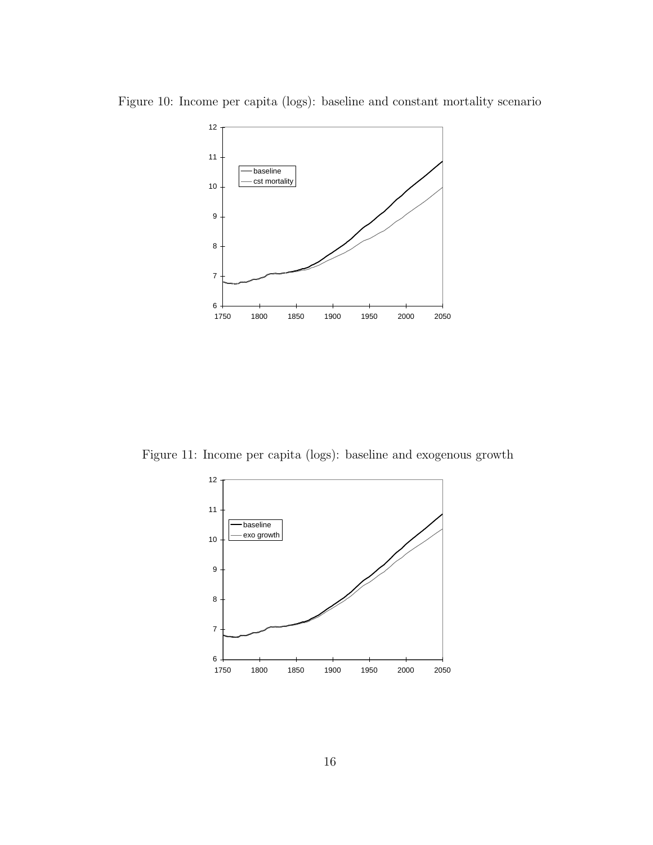

Figure 10: Income per capita (logs): baseline and constant mortality scenario

Figure 11: Income per capita (logs): baseline and exogenous growth

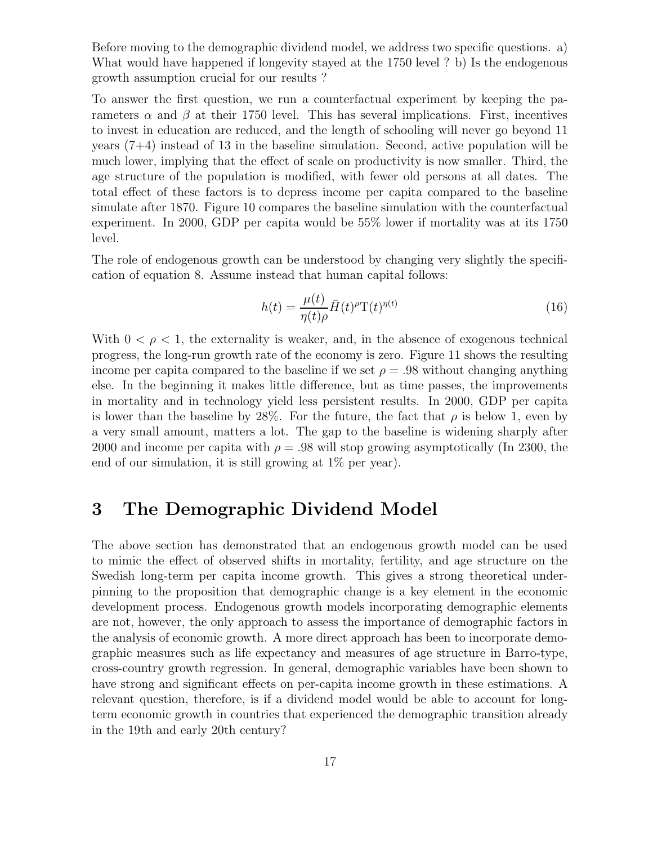Before moving to the demographic dividend model, we address two specific questions. a) What would have happened if longevity stayed at the 1750 level ? b) Is the endogenous growth assumption crucial for our results ?

To answer the first question, we run a counterfactual experiment by keeping the parameters  $\alpha$  and  $\beta$  at their 1750 level. This has several implications. First, incentives to invest in education are reduced, and the length of schooling will never go beyond 11 years (7+4) instead of 13 in the baseline simulation. Second, active population will be much lower, implying that the effect of scale on productivity is now smaller. Third, the age structure of the population is modified, with fewer old persons at all dates. The total effect of these factors is to depress income per capita compared to the baseline simulate after 1870. Figure 10 compares the baseline simulation with the counterfactual experiment. In 2000, GDP per capita would be 55% lower if mortality was at its 1750 level.

The role of endogenous growth can be understood by changing very slightly the specification of equation 8. Assume instead that human capital follows:

$$
h(t) = \frac{\mu(t)}{\eta(t)\rho} \bar{H}(t)^{\rho} \mathcal{T}(t)^{\eta(t)}
$$
\n(16)

With  $0 < \rho < 1$ , the externality is weaker, and, in the absence of exogenous technical progress, the long-run growth rate of the economy is zero. Figure 11 shows the resulting income per capita compared to the baseline if we set  $\rho = .98$  without changing anything else. In the beginning it makes little difference, but as time passes, the improvements in mortality and in technology yield less persistent results. In 2000, GDP per capita is lower than the baseline by 28%. For the future, the fact that  $\rho$  is below 1, even by a very small amount, matters a lot. The gap to the baseline is widening sharply after 2000 and income per capita with  $\rho = .98$  will stop growing asymptotically (In 2300, the end of our simulation, it is still growing at 1% per year).

# 3 The Demographic Dividend Model

The above section has demonstrated that an endogenous growth model can be used to mimic the effect of observed shifts in mortality, fertility, and age structure on the Swedish long-term per capita income growth. This gives a strong theoretical underpinning to the proposition that demographic change is a key element in the economic development process. Endogenous growth models incorporating demographic elements are not, however, the only approach to assess the importance of demographic factors in the analysis of economic growth. A more direct approach has been to incorporate demographic measures such as life expectancy and measures of age structure in Barro-type, cross-country growth regression. In general, demographic variables have been shown to have strong and significant effects on per-capita income growth in these estimations. A relevant question, therefore, is if a dividend model would be able to account for longterm economic growth in countries that experienced the demographic transition already in the 19th and early 20th century?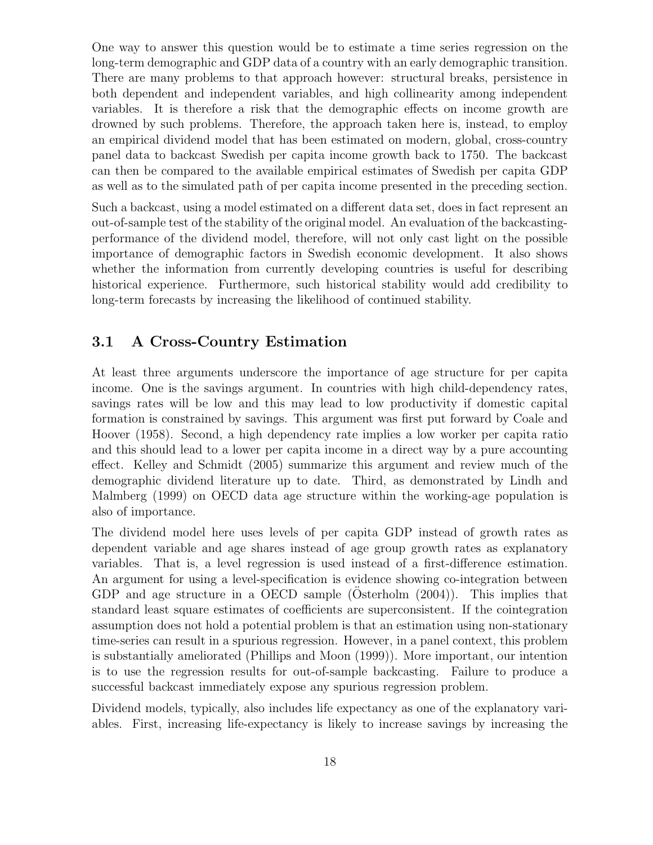One way to answer this question would be to estimate a time series regression on the long-term demographic and GDP data of a country with an early demographic transition. There are many problems to that approach however: structural breaks, persistence in both dependent and independent variables, and high collinearity among independent variables. It is therefore a risk that the demographic effects on income growth are drowned by such problems. Therefore, the approach taken here is, instead, to employ an empirical dividend model that has been estimated on modern, global, cross-country panel data to backcast Swedish per capita income growth back to 1750. The backcast can then be compared to the available empirical estimates of Swedish per capita GDP as well as to the simulated path of per capita income presented in the preceding section.

Such a backcast, using a model estimated on a different data set, does in fact represent an out-of-sample test of the stability of the original model. An evaluation of the backcastingperformance of the dividend model, therefore, will not only cast light on the possible importance of demographic factors in Swedish economic development. It also shows whether the information from currently developing countries is useful for describing historical experience. Furthermore, such historical stability would add credibility to long-term forecasts by increasing the likelihood of continued stability.

### 3.1 A Cross-Country Estimation

At least three arguments underscore the importance of age structure for per capita income. One is the savings argument. In countries with high child-dependency rates, savings rates will be low and this may lead to low productivity if domestic capital formation is constrained by savings. This argument was first put forward by Coale and Hoover (1958). Second, a high dependency rate implies a low worker per capita ratio and this should lead to a lower per capita income in a direct way by a pure accounting effect. Kelley and Schmidt (2005) summarize this argument and review much of the demographic dividend literature up to date. Third, as demonstrated by Lindh and Malmberg (1999) on OECD data age structure within the working-age population is also of importance.

The dividend model here uses levels of per capita GDP instead of growth rates as dependent variable and age shares instead of age group growth rates as explanatory variables. That is, a level regression is used instead of a first-difference estimation. An argument for using a level-specification is evidence showing co-integration between GDP and age structure in a OECD sample (Osterholm  $(2004)$ ). This implies that standard least square estimates of coefficients are superconsistent. If the cointegration assumption does not hold a potential problem is that an estimation using non-stationary time-series can result in a spurious regression. However, in a panel context, this problem is substantially ameliorated (Phillips and Moon (1999)). More important, our intention is to use the regression results for out-of-sample backcasting. Failure to produce a successful backcast immediately expose any spurious regression problem.

Dividend models, typically, also includes life expectancy as one of the explanatory variables. First, increasing life-expectancy is likely to increase savings by increasing the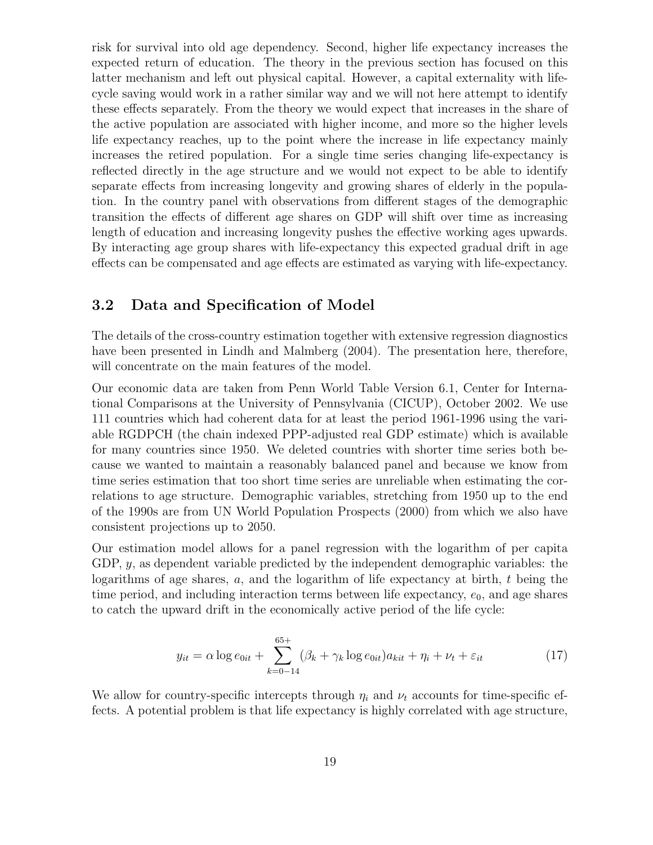risk for survival into old age dependency. Second, higher life expectancy increases the expected return of education. The theory in the previous section has focused on this latter mechanism and left out physical capital. However, a capital externality with lifecycle saving would work in a rather similar way and we will not here attempt to identify these effects separately. From the theory we would expect that increases in the share of the active population are associated with higher income, and more so the higher levels life expectancy reaches, up to the point where the increase in life expectancy mainly increases the retired population. For a single time series changing life-expectancy is reflected directly in the age structure and we would not expect to be able to identify separate effects from increasing longevity and growing shares of elderly in the population. In the country panel with observations from different stages of the demographic transition the effects of different age shares on GDP will shift over time as increasing length of education and increasing longevity pushes the effective working ages upwards. By interacting age group shares with life-expectancy this expected gradual drift in age effects can be compensated and age effects are estimated as varying with life-expectancy.

# 3.2 Data and Specification of Model

The details of the cross-country estimation together with extensive regression diagnostics have been presented in Lindh and Malmberg (2004). The presentation here, therefore, will concentrate on the main features of the model.

Our economic data are taken from Penn World Table Version 6.1, Center for International Comparisons at the University of Pennsylvania (CICUP), October 2002. We use 111 countries which had coherent data for at least the period 1961-1996 using the variable RGDPCH (the chain indexed PPP-adjusted real GDP estimate) which is available for many countries since 1950. We deleted countries with shorter time series both because we wanted to maintain a reasonably balanced panel and because we know from time series estimation that too short time series are unreliable when estimating the correlations to age structure. Demographic variables, stretching from 1950 up to the end of the 1990s are from UN World Population Prospects (2000) from which we also have consistent projections up to 2050.

Our estimation model allows for a panel regression with the logarithm of per capita GDP, y, as dependent variable predicted by the independent demographic variables: the logarithms of age shares,  $a$ , and the logarithm of life expectancy at birth,  $t$  being the time period, and including interaction terms between life expectancy,  $e_0$ , and age shares to catch the upward drift in the economically active period of the life cycle:

$$
y_{it} = \alpha \log e_{0it} + \sum_{k=0-14}^{65+} (\beta_k + \gamma_k \log e_{0it}) a_{kit} + \eta_i + \nu_t + \varepsilon_{it}
$$
 (17)

We allow for country-specific intercepts through  $\eta_i$  and  $\nu_t$  accounts for time-specific effects. A potential problem is that life expectancy is highly correlated with age structure,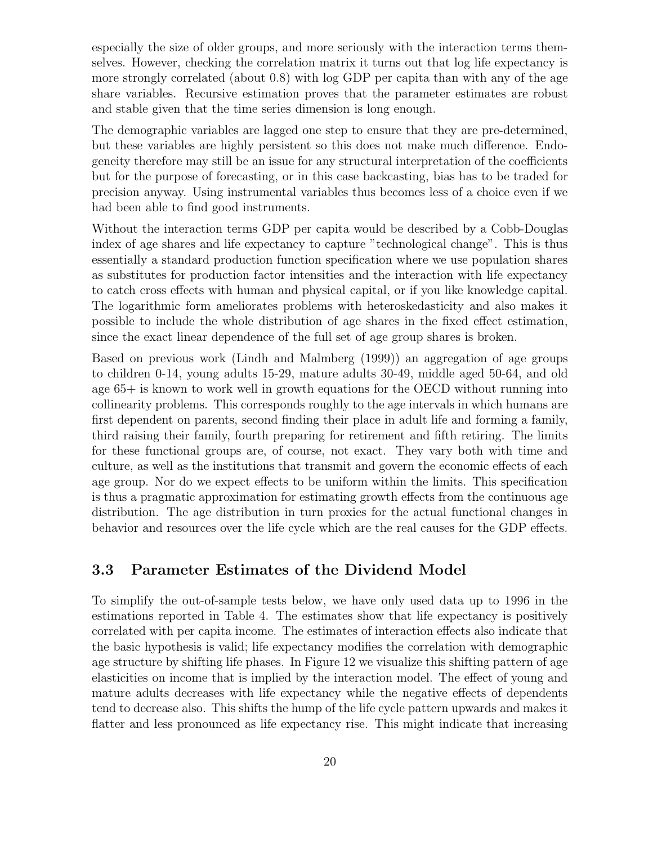especially the size of older groups, and more seriously with the interaction terms themselves. However, checking the correlation matrix it turns out that log life expectancy is more strongly correlated (about 0.8) with log GDP per capita than with any of the age share variables. Recursive estimation proves that the parameter estimates are robust and stable given that the time series dimension is long enough.

The demographic variables are lagged one step to ensure that they are pre-determined, but these variables are highly persistent so this does not make much difference. Endogeneity therefore may still be an issue for any structural interpretation of the coefficients but for the purpose of forecasting, or in this case backcasting, bias has to be traded for precision anyway. Using instrumental variables thus becomes less of a choice even if we had been able to find good instruments.

Without the interaction terms GDP per capita would be described by a Cobb-Douglas index of age shares and life expectancy to capture "technological change". This is thus essentially a standard production function specification where we use population shares as substitutes for production factor intensities and the interaction with life expectancy to catch cross effects with human and physical capital, or if you like knowledge capital. The logarithmic form ameliorates problems with heteroskedasticity and also makes it possible to include the whole distribution of age shares in the fixed effect estimation, since the exact linear dependence of the full set of age group shares is broken.

Based on previous work (Lindh and Malmberg (1999)) an aggregation of age groups to children 0-14, young adults 15-29, mature adults 30-49, middle aged 50-64, and old age 65+ is known to work well in growth equations for the OECD without running into collinearity problems. This corresponds roughly to the age intervals in which humans are first dependent on parents, second finding their place in adult life and forming a family, third raising their family, fourth preparing for retirement and fifth retiring. The limits for these functional groups are, of course, not exact. They vary both with time and culture, as well as the institutions that transmit and govern the economic effects of each age group. Nor do we expect effects to be uniform within the limits. This specification is thus a pragmatic approximation for estimating growth effects from the continuous age distribution. The age distribution in turn proxies for the actual functional changes in behavior and resources over the life cycle which are the real causes for the GDP effects.

### 3.3 Parameter Estimates of the Dividend Model

To simplify the out-of-sample tests below, we have only used data up to 1996 in the estimations reported in Table 4. The estimates show that life expectancy is positively correlated with per capita income. The estimates of interaction effects also indicate that the basic hypothesis is valid; life expectancy modifies the correlation with demographic age structure by shifting life phases. In Figure 12 we visualize this shifting pattern of age elasticities on income that is implied by the interaction model. The effect of young and mature adults decreases with life expectancy while the negative effects of dependents tend to decrease also. This shifts the hump of the life cycle pattern upwards and makes it flatter and less pronounced as life expectancy rise. This might indicate that increasing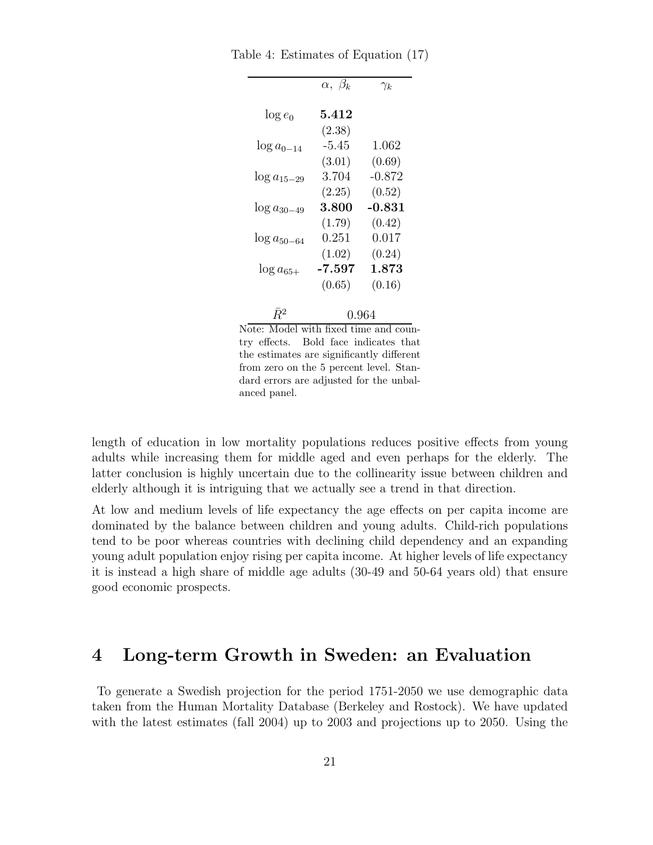|                  | $\alpha, \ \beta_k$ | $\gamma_k$ |
|------------------|---------------------|------------|
|                  |                     |            |
| $\log e_0$       | $\; 5.412$          |            |
|                  | (2.38)              |            |
| $\log a_{0-14}$  | -5.45               | 1.062      |
|                  | (3.01)              | (0.69)     |
| $\log a_{15-29}$ | 3.704               | $-0.872$   |
|                  | (2.25)              | (0.52)     |
| $\log a_{30-49}$ | 3.800               | -0.831     |
|                  | (1.79)              | (0.42)     |
| $\log a_{50-64}$ | 0.251               | 0.017      |
|                  | (1.02)              | (0.24)     |
| $\log a_{65+}$   | -7.597              | $1.873\,$  |
|                  | (0.65)              | (0.16)     |
|                  |                     |            |
| $R^2$            | $\cdot$ . 1<br>r    | 0.964      |

Table 4: Estimates of Equation (17)

Note: Model with fixed time and country effects. Bold face indicates that the estimates are significantly different from zero on the 5 percent level. Standard errors are adjusted for the unbalanced panel.

length of education in low mortality populations reduces positive effects from young adults while increasing them for middle aged and even perhaps for the elderly. The latter conclusion is highly uncertain due to the collinearity issue between children and elderly although it is intriguing that we actually see a trend in that direction.

At low and medium levels of life expectancy the age effects on per capita income are dominated by the balance between children and young adults. Child-rich populations tend to be poor whereas countries with declining child dependency and an expanding young adult population enjoy rising per capita income. At higher levels of life expectancy it is instead a high share of middle age adults (30-49 and 50-64 years old) that ensure good economic prospects.

# 4 Long-term Growth in Sweden: an Evaluation

To generate a Swedish projection for the period 1751-2050 we use demographic data taken from the Human Mortality Database (Berkeley and Rostock). We have updated with the latest estimates (fall 2004) up to 2003 and projections up to 2050. Using the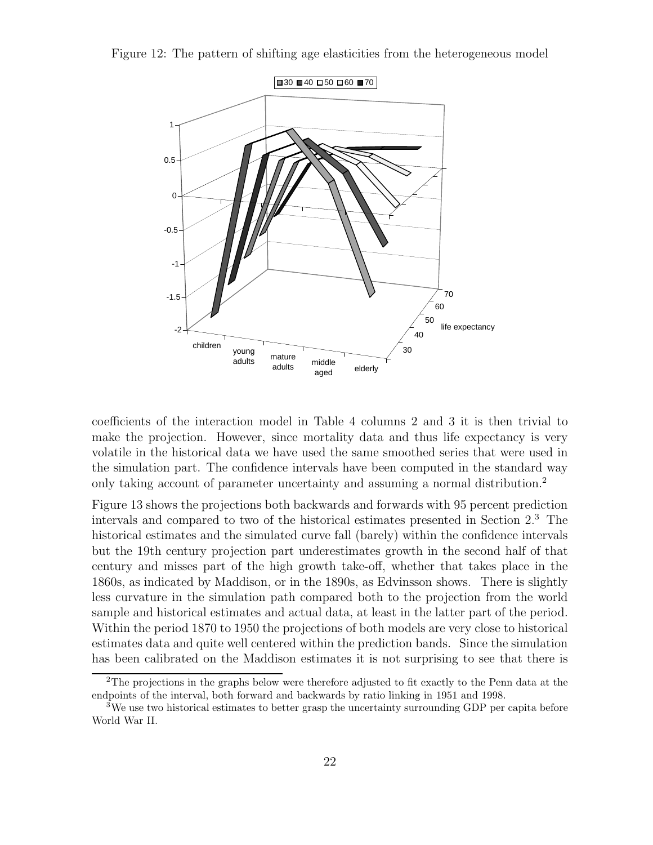

Figure 12: The pattern of shifting age elasticities from the heterogeneous model

coefficients of the interaction model in Table 4 columns 2 and 3 it is then trivial to make the projection. However, since mortality data and thus life expectancy is very volatile in the historical data we have used the same smoothed series that were used in the simulation part. The confidence intervals have been computed in the standard way only taking account of parameter uncertainty and assuming a normal distribution.<sup>2</sup>

Figure 13 shows the projections both backwards and forwards with 95 percent prediction intervals and compared to two of the historical estimates presented in Section 2.<sup>3</sup> The historical estimates and the simulated curve fall (barely) within the confidence intervals but the 19th century projection part underestimates growth in the second half of that century and misses part of the high growth take-off, whether that takes place in the 1860s, as indicated by Maddison, or in the 1890s, as Edvinsson shows. There is slightly less curvature in the simulation path compared both to the projection from the world sample and historical estimates and actual data, at least in the latter part of the period. Within the period 1870 to 1950 the projections of both models are very close to historical estimates data and quite well centered within the prediction bands. Since the simulation has been calibrated on the Maddison estimates it is not surprising to see that there is

<sup>&</sup>lt;sup>2</sup>The projections in the graphs below were therefore adjusted to fit exactly to the Penn data at the endpoints of the interval, both forward and backwards by ratio linking in 1951 and 1998.

<sup>&</sup>lt;sup>3</sup>We use two historical estimates to better grasp the uncertainty surrounding GDP per capita before World War II.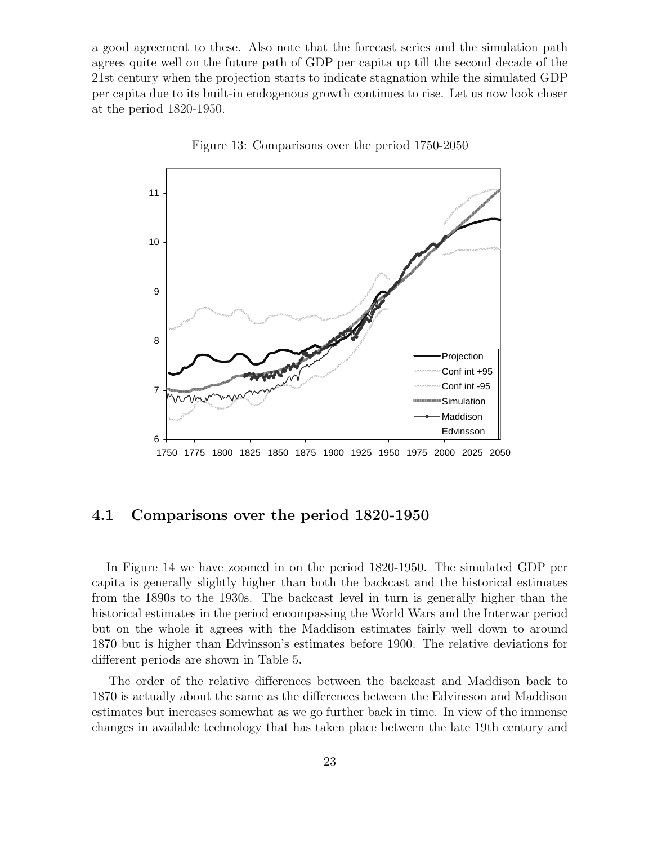a good agreement to these. Also note that the forecast series and the simulation path agrees quite well on the future path of GDP per capita up till the second decade of the 21st century when the projection starts to indicate stagnation while the simulated GDP per capita due to its built-in endogenous growth continues to rise. Let us now look closer at the period 1820-1950.



Figure 13: Comparisons over the period 1750-2050

### 4.1 Comparisons over the period 1820-1950

In Figure 14 we have zoomed in on the period 1820-1950. The simulated GDP per capita is generally slightly higher than both the backcast and the historical estimates from the 1890s to the 1930s. The backcast level in turn is generally higher than the historical estimates in the period encompassing the World Wars and the Interwar period but on the whole it agrees with the Maddison estimates fairly well down to around 1870 but is higher than Edvinsson's estimates before 1900. The relative deviations for different periods are shown in Table 5.

The order of the relative differences between the backcast and Maddison back to 1870 is actually about the same as the differences between the Edvinsson and Maddison estimates but increases somewhat as we go further back in time. In view of the immense changes in available technology that has taken place between the late 19th century and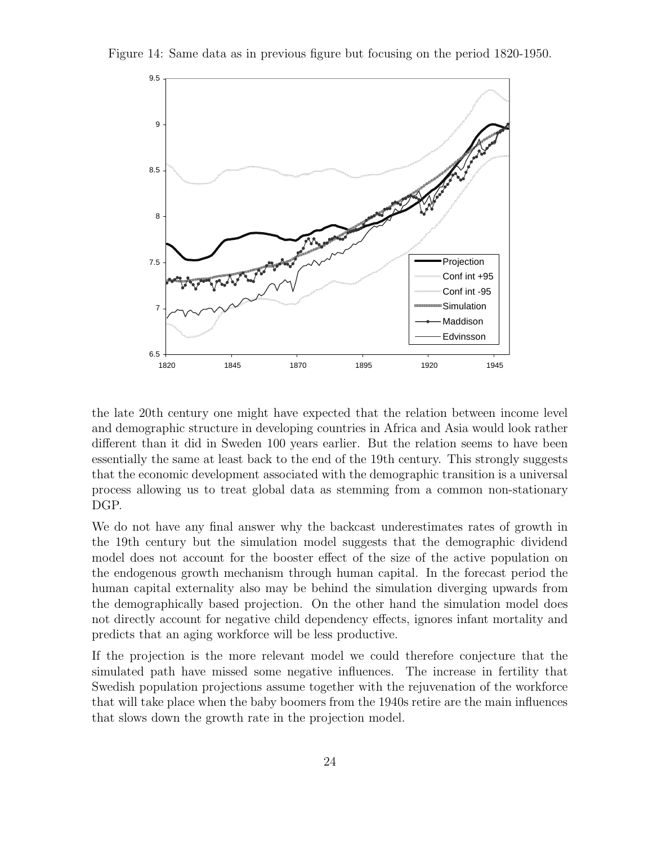

Figure 14: Same data as in previous figure but focusing on the period 1820-1950.

the late 20th century one might have expected that the relation between income level and demographic structure in developing countries in Africa and Asia would look rather different than it did in Sweden 100 years earlier. But the relation seems to have been essentially the same at least back to the end of the 19th century. This strongly suggests that the economic development associated with the demographic transition is a universal process allowing us to treat global data as stemming from a common non-stationary DGP.

We do not have any final answer why the backcast underestimates rates of growth in the 19th century but the simulation model suggests that the demographic dividend model does not account for the booster effect of the size of the active population on the endogenous growth mechanism through human capital. In the forecast period the human capital externality also may be behind the simulation diverging upwards from the demographically based projection. On the other hand the simulation model does not directly account for negative child dependency effects, ignores infant mortality and predicts that an aging workforce will be less productive.

If the projection is the more relevant model we could therefore conjecture that the simulated path have missed some negative influences. The increase in fertility that Swedish population projections assume together with the rejuvenation of the workforce that will take place when the baby boomers from the 1940s retire are the main influences that slows down the growth rate in the projection model.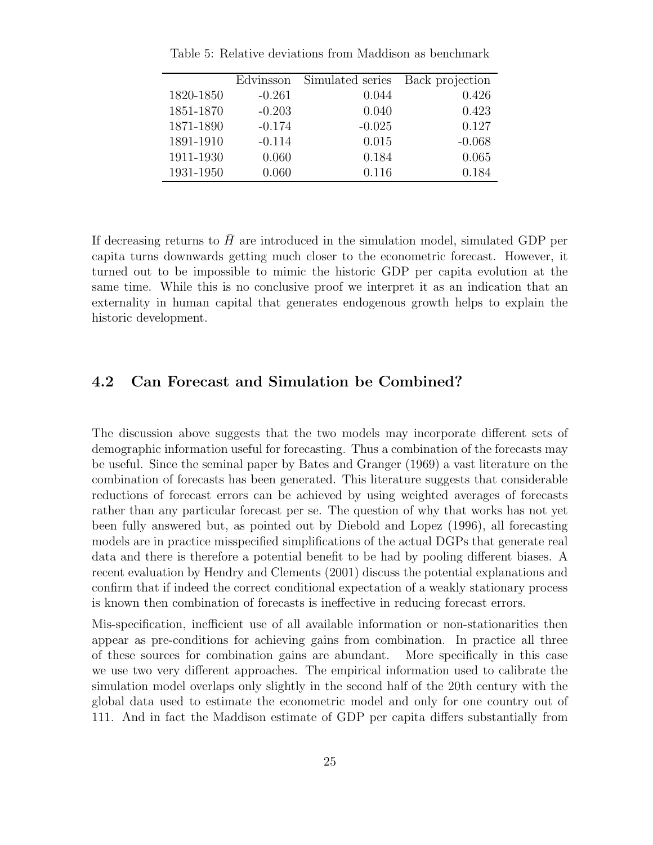|           | Edvinsson | Simulated series Back projection |          |
|-----------|-----------|----------------------------------|----------|
| 1820-1850 | $-0.261$  | 0.044                            | 0.426    |
| 1851-1870 | $-0.203$  | 0.040                            | 0.423    |
| 1871-1890 | $-0.174$  | $-0.025$                         | 0.127    |
| 1891-1910 | $-0.114$  | 0.015                            | $-0.068$ |
| 1911-1930 | 0.060     | 0.184                            | 0.065    |
| 1931-1950 | 0.060     | 0.116                            | 0.184    |

Table 5: Relative deviations from Maddison as benchmark

If decreasing returns to  $\bar{H}$  are introduced in the simulation model, simulated GDP per capita turns downwards getting much closer to the econometric forecast. However, it turned out to be impossible to mimic the historic GDP per capita evolution at the same time. While this is no conclusive proof we interpret it as an indication that an externality in human capital that generates endogenous growth helps to explain the historic development.

# 4.2 Can Forecast and Simulation be Combined?

The discussion above suggests that the two models may incorporate different sets of demographic information useful for forecasting. Thus a combination of the forecasts may be useful. Since the seminal paper by Bates and Granger (1969) a vast literature on the combination of forecasts has been generated. This literature suggests that considerable reductions of forecast errors can be achieved by using weighted averages of forecasts rather than any particular forecast per se. The question of why that works has not yet been fully answered but, as pointed out by Diebold and Lopez (1996), all forecasting models are in practice misspecified simplifications of the actual DGPs that generate real data and there is therefore a potential benefit to be had by pooling different biases. A recent evaluation by Hendry and Clements (2001) discuss the potential explanations and confirm that if indeed the correct conditional expectation of a weakly stationary process is known then combination of forecasts is ineffective in reducing forecast errors.

Mis-specification, inefficient use of all available information or non-stationarities then appear as pre-conditions for achieving gains from combination. In practice all three of these sources for combination gains are abundant. More specifically in this case we use two very different approaches. The empirical information used to calibrate the simulation model overlaps only slightly in the second half of the 20th century with the global data used to estimate the econometric model and only for one country out of 111. And in fact the Maddison estimate of GDP per capita differs substantially from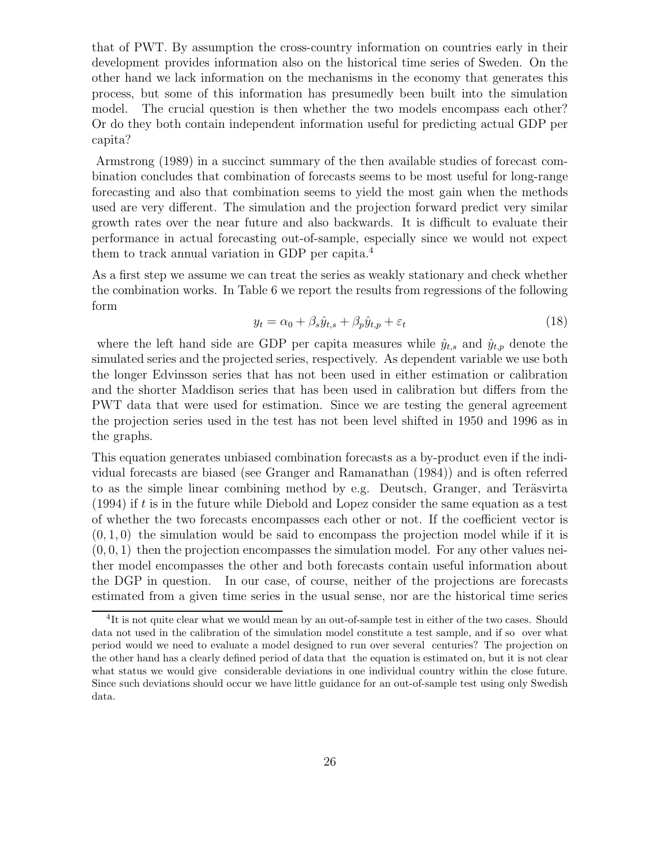that of PWT. By assumption the cross-country information on countries early in their development provides information also on the historical time series of Sweden. On the other hand we lack information on the mechanisms in the economy that generates this process, but some of this information has presumedly been built into the simulation model. The crucial question is then whether the two models encompass each other? Or do they both contain independent information useful for predicting actual GDP per capita?

Armstrong (1989) in a succinct summary of the then available studies of forecast combination concludes that combination of forecasts seems to be most useful for long-range forecasting and also that combination seems to yield the most gain when the methods used are very different. The simulation and the projection forward predict very similar growth rates over the near future and also backwards. It is difficult to evaluate their performance in actual forecasting out-of-sample, especially since we would not expect them to track annual variation in GDP per capita.<sup>4</sup>

As a first step we assume we can treat the series as weakly stationary and check whether the combination works. In Table 6 we report the results from regressions of the following form

$$
y_t = \alpha_0 + \beta_s \hat{y}_{t,s} + \beta_p \hat{y}_{t,p} + \varepsilon_t \tag{18}
$$

where the left hand side are GDP per capita measures while  $\hat{y}_{t,s}$  and  $\hat{y}_{t,p}$  denote the simulated series and the projected series, respectively. As dependent variable we use both the longer Edvinsson series that has not been used in either estimation or calibration and the shorter Maddison series that has been used in calibration but differs from the PWT data that were used for estimation. Since we are testing the general agreement the projection series used in the test has not been level shifted in 1950 and 1996 as in the graphs.

This equation generates unbiased combination forecasts as a by-product even if the individual forecasts are biased (see Granger and Ramanathan (1984)) and is often referred to as the simple linear combining method by e.g. Deutsch, Granger, and Teräsvirta  $(1994)$  if t is in the future while Diebold and Lopez consider the same equation as a test of whether the two forecasts encompasses each other or not. If the coefficient vector is  $(0, 1, 0)$  the simulation would be said to encompass the projection model while if it is  $(0, 0, 1)$  then the projection encompasses the simulation model. For any other values neither model encompasses the other and both forecasts contain useful information about the DGP in question. In our case, of course, neither of the projections are forecasts estimated from a given time series in the usual sense, nor are the historical time series

<sup>&</sup>lt;sup>4</sup>It is not quite clear what we would mean by an out-of-sample test in either of the two cases. Should data not used in the calibration of the simulation model constitute a test sample, and if so over what period would we need to evaluate a model designed to run over several centuries? The projection on the other hand has a clearly defined period of data that the equation is estimated on, but it is not clear what status we would give considerable deviations in one individual country within the close future. Since such deviations should occur we have little guidance for an out-of-sample test using only Swedish data.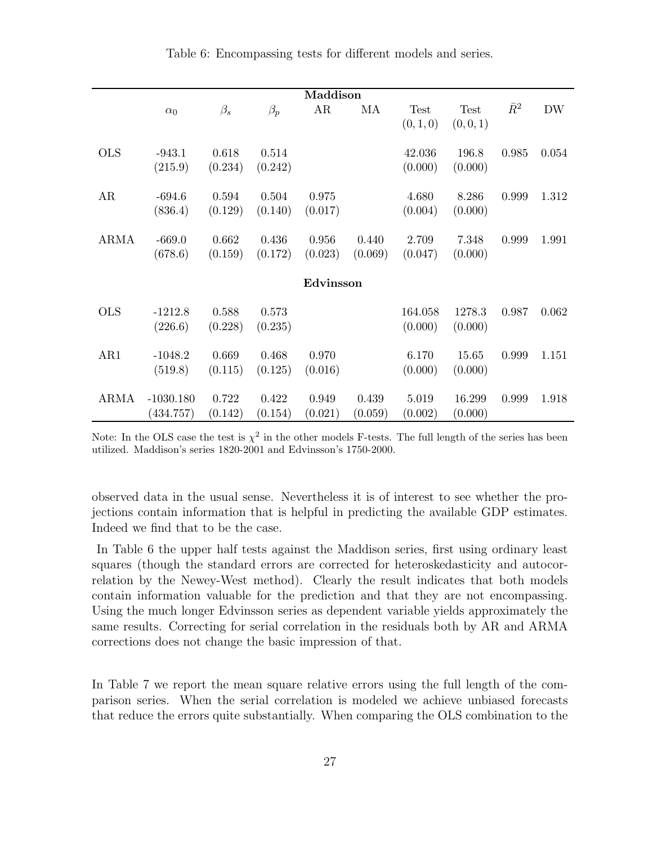|             |             |           |           | Maddison |         |             |             |             |           |
|-------------|-------------|-----------|-----------|----------|---------|-------------|-------------|-------------|-----------|
|             | $\alpha_0$  | $\beta_s$ | $\beta_p$ | AR       | MA      | <b>Test</b> | <b>Test</b> | $\bar{R}^2$ | <b>DW</b> |
|             |             |           |           |          |         | (0, 1, 0)   | (0,0,1)     |             |           |
| <b>OLS</b>  | $-943.1$    | 0.618     | 0.514     |          |         | 42.036      | 196.8       | 0.985       | 0.054     |
|             | (215.9)     | (0.234)   | (0.242)   |          |         | (0.000)     | (0.000)     |             |           |
| AR          | $-694.6$    | 0.594     | 0.504     | 0.975    |         | 4.680       | 8.286       | 0.999       | 1.312     |
|             | (836.4)     | (0.129)   | (0.140)   | (0.017)  |         | (0.004)     | (0.000)     |             |           |
| <b>ARMA</b> | $-669.0$    | 0.662     | 0.436     | 0.956    | 0.440   | 2.709       | 7.348       | 0.999       | 1.991     |
|             | (678.6)     | (0.159)   | (0.172)   | (0.023)  | (0.069) | (0.047)     | (0.000)     |             |           |
|             | Edvinsson   |           |           |          |         |             |             |             |           |
| <b>OLS</b>  | $-1212.8$   | 0.588     | 0.573     |          |         | 164.058     | 1278.3      | 0.987       | 0.062     |
|             | (226.6)     | (0.228)   | (0.235)   |          |         | (0.000)     | (0.000)     |             |           |
| AR1         | $-1048.2$   | 0.669     | 0.468     | 0.970    |         | 6.170       | 15.65       | 0.999       | 1.151     |
|             | (519.8)     | (0.115)   | (0.125)   | (0.016)  |         | (0.000)     | (0.000)     |             |           |
| <b>ARMA</b> | $-1030.180$ | 0.722     | 0.422     | 0.949    | 0.439   | 5.019       | 16.299      | 0.999       | 1.918     |
|             | (434.757)   | (0.142)   | (0.154)   | (0.021)  | (0.059) | (0.002)     | (0.000)     |             |           |

Table 6: Encompassing tests for different models and series.

observed data in the usual sense. Nevertheless it is of interest to see whether the projections contain information that is helpful in predicting the available GDP estimates. Indeed we find that to be the case.

In Table 6 the upper half tests against the Maddison series, first using ordinary least squares (though the standard errors are corrected for heteroskedasticity and autocorrelation by the Newey-West method). Clearly the result indicates that both models contain information valuable for the prediction and that they are not encompassing. Using the much longer Edvinsson series as dependent variable yields approximately the same results. Correcting for serial correlation in the residuals both by AR and ARMA corrections does not change the basic impression of that.

In Table 7 we report the mean square relative errors using the full length of the comparison series. When the serial correlation is modeled we achieve unbiased forecasts that reduce the errors quite substantially. When comparing the OLS combination to the

Note: In the OLS case the test is  $\chi^2$  in the other models F-tests. The full length of the series has been utilized. Maddison's series 1820-2001 and Edvinsson's 1750-2000.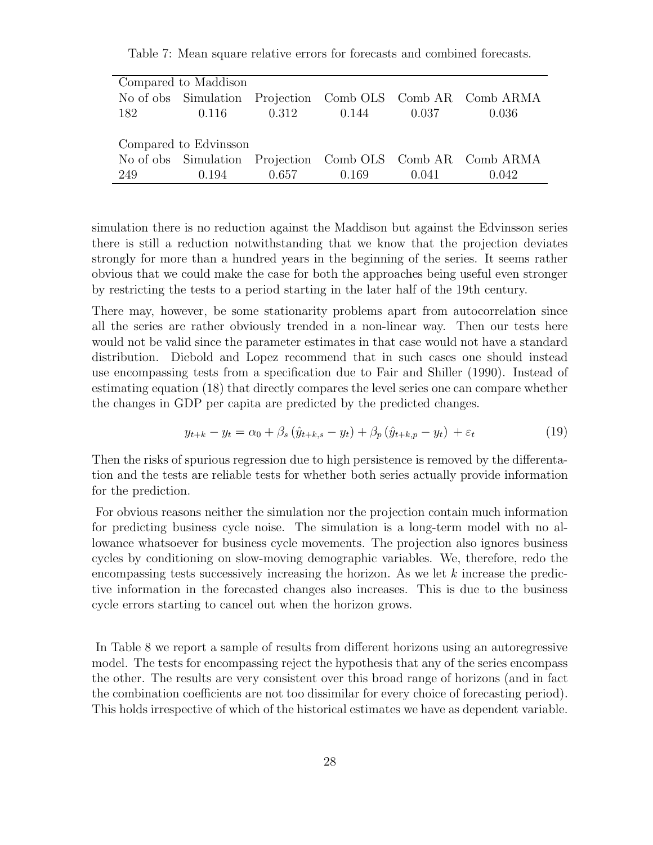| Compared to Maddison  |       |       |       |       |                                                            |  |  |
|-----------------------|-------|-------|-------|-------|------------------------------------------------------------|--|--|
|                       |       |       |       |       | No of obs Simulation Projection Comb OLS Comb AR Comb ARMA |  |  |
| 182                   | 0.116 | 0.312 | 0.144 | 0.037 | 0.036                                                      |  |  |
|                       |       |       |       |       |                                                            |  |  |
| Compared to Edvinsson |       |       |       |       |                                                            |  |  |
|                       |       |       |       |       | No of obs Simulation Projection Comb OLS Comb AR Comb ARMA |  |  |
| 249                   | 0.194 | 0.657 | 0.169 | 0.041 | 0.042                                                      |  |  |

Table 7: Mean square relative errors for forecasts and combined forecasts.

simulation there is no reduction against the Maddison but against the Edvinsson series there is still a reduction notwithstanding that we know that the projection deviates strongly for more than a hundred years in the beginning of the series. It seems rather obvious that we could make the case for both the approaches being useful even stronger by restricting the tests to a period starting in the later half of the 19th century.

There may, however, be some stationarity problems apart from autocorrelation since all the series are rather obviously trended in a non-linear way. Then our tests here would not be valid since the parameter estimates in that case would not have a standard distribution. Diebold and Lopez recommend that in such cases one should instead use encompassing tests from a specification due to Fair and Shiller (1990). Instead of estimating equation (18) that directly compares the level series one can compare whether the changes in GDP per capita are predicted by the predicted changes.

$$
y_{t+k} - y_t = \alpha_0 + \beta_s (\hat{y}_{t+k,s} - y_t) + \beta_p (\hat{y}_{t+k,p} - y_t) + \varepsilon_t
$$
 (19)

Then the risks of spurious regression due to high persistence is removed by the differentation and the tests are reliable tests for whether both series actually provide information for the prediction.

For obvious reasons neither the simulation nor the projection contain much information for predicting business cycle noise. The simulation is a long-term model with no allowance whatsoever for business cycle movements. The projection also ignores business cycles by conditioning on slow-moving demographic variables. We, therefore, redo the encompassing tests successively increasing the horizon. As we let  $k$  increase the predictive information in the forecasted changes also increases. This is due to the business cycle errors starting to cancel out when the horizon grows.

In Table 8 we report a sample of results from different horizons using an autoregressive model. The tests for encompassing reject the hypothesis that any of the series encompass the other. The results are very consistent over this broad range of horizons (and in fact the combination coefficients are not too dissimilar for every choice of forecasting period). This holds irrespective of which of the historical estimates we have as dependent variable.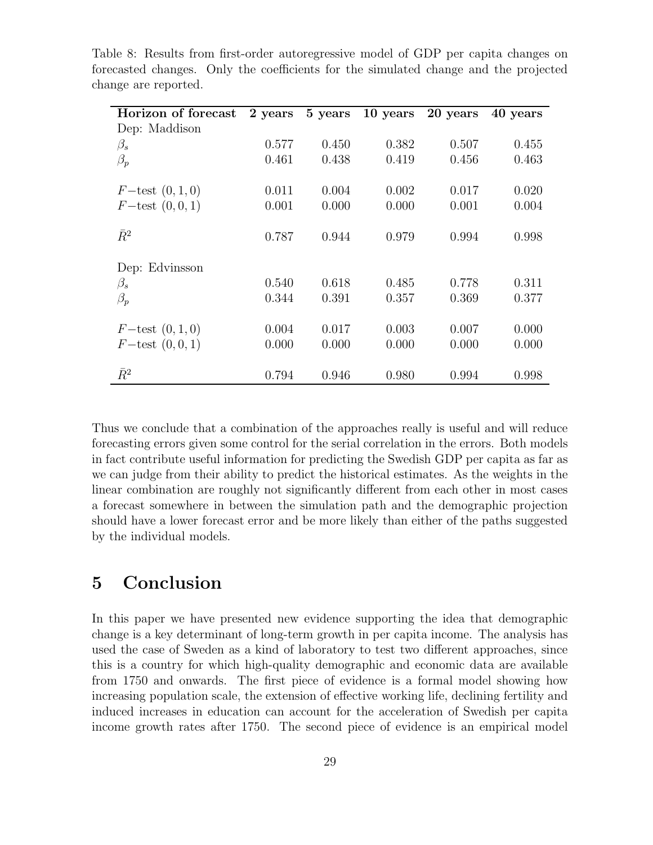| Horizon of forecast   | 2 years | 5 years | 10 years | 20 years | 40 years |
|-----------------------|---------|---------|----------|----------|----------|
| Dep: Maddison         |         |         |          |          |          |
| $\beta_s$             | 0.577   | 0.450   | 0.382    | 0.507    | 0.455    |
| $\beta_p$             | 0.461   | 0.438   | 0.419    | 0.456    | 0.463    |
|                       |         |         |          |          |          |
| $F$ -test $(0, 1, 0)$ | 0.011   | 0.004   | 0.002    | 0.017    | 0.020    |
| $F$ -test $(0, 0, 1)$ | 0.001   | 0.000   | 0.000    | 0.001    | 0.004    |
|                       |         |         |          |          |          |
| $\bar{R}^2$           | 0.787   | 0.944   | 0.979    | 0.994    | 0.998    |
|                       |         |         |          |          |          |
| Dep: Edvinsson        |         |         |          |          |          |
| $\beta_s$             | 0.540   | 0.618   | 0.485    | 0.778    | 0.311    |
| $\beta_p$             | 0.344   | 0.391   | 0.357    | 0.369    | 0.377    |
|                       |         |         |          |          |          |
| $F$ -test $(0, 1, 0)$ | 0.004   | 0.017   | 0.003    | 0.007    | 0.000    |
| $F$ -test $(0, 0, 1)$ | 0.000   | 0.000   | 0.000    | 0.000    | 0.000    |
|                       |         |         |          |          |          |
| $\bar{R}^2$           | 0.794   | 0.946   | 0.980    | 0.994    | 0.998    |

Table 8: Results from first-order autoregressive model of GDP per capita changes on forecasted changes. Only the coefficients for the simulated change and the projected change are reported.

Thus we conclude that a combination of the approaches really is useful and will reduce forecasting errors given some control for the serial correlation in the errors. Both models in fact contribute useful information for predicting the Swedish GDP per capita as far as we can judge from their ability to predict the historical estimates. As the weights in the linear combination are roughly not significantly different from each other in most cases a forecast somewhere in between the simulation path and the demographic projection should have a lower forecast error and be more likely than either of the paths suggested by the individual models.

# 5 Conclusion

In this paper we have presented new evidence supporting the idea that demographic change is a key determinant of long-term growth in per capita income. The analysis has used the case of Sweden as a kind of laboratory to test two different approaches, since this is a country for which high-quality demographic and economic data are available from 1750 and onwards. The first piece of evidence is a formal model showing how increasing population scale, the extension of effective working life, declining fertility and induced increases in education can account for the acceleration of Swedish per capita income growth rates after 1750. The second piece of evidence is an empirical model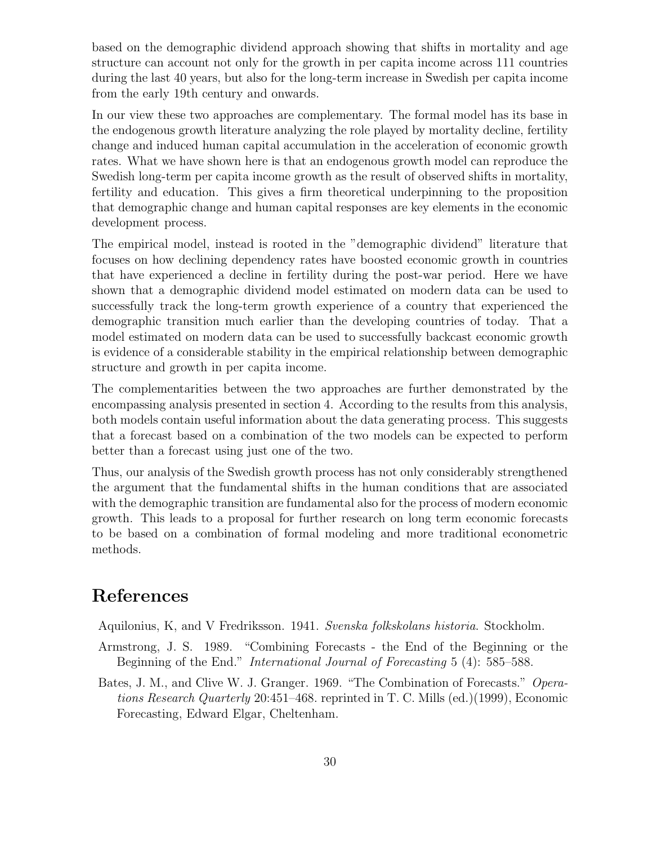based on the demographic dividend approach showing that shifts in mortality and age structure can account not only for the growth in per capita income across 111 countries during the last 40 years, but also for the long-term increase in Swedish per capita income from the early 19th century and onwards.

In our view these two approaches are complementary. The formal model has its base in the endogenous growth literature analyzing the role played by mortality decline, fertility change and induced human capital accumulation in the acceleration of economic growth rates. What we have shown here is that an endogenous growth model can reproduce the Swedish long-term per capita income growth as the result of observed shifts in mortality, fertility and education. This gives a firm theoretical underpinning to the proposition that demographic change and human capital responses are key elements in the economic development process.

The empirical model, instead is rooted in the "demographic dividend" literature that focuses on how declining dependency rates have boosted economic growth in countries that have experienced a decline in fertility during the post-war period. Here we have shown that a demographic dividend model estimated on modern data can be used to successfully track the long-term growth experience of a country that experienced the demographic transition much earlier than the developing countries of today. That a model estimated on modern data can be used to successfully backcast economic growth is evidence of a considerable stability in the empirical relationship between demographic structure and growth in per capita income.

The complementarities between the two approaches are further demonstrated by the encompassing analysis presented in section 4. According to the results from this analysis, both models contain useful information about the data generating process. This suggests that a forecast based on a combination of the two models can be expected to perform better than a forecast using just one of the two.

Thus, our analysis of the Swedish growth process has not only considerably strengthened the argument that the fundamental shifts in the human conditions that are associated with the demographic transition are fundamental also for the process of modern economic growth. This leads to a proposal for further research on long term economic forecasts to be based on a combination of formal modeling and more traditional econometric methods.

# References

Aquilonius, K, and V Fredriksson. 1941. Svenska folkskolans historia. Stockholm.

- Armstrong, J. S. 1989. "Combining Forecasts the End of the Beginning or the Beginning of the End." International Journal of Forecasting 5 (4): 585–588.
- Bates, J. M., and Clive W. J. Granger. 1969. "The Combination of Forecasts." Operations Research Quarterly 20:451–468. reprinted in T. C. Mills (ed.)(1999), Economic Forecasting, Edward Elgar, Cheltenham.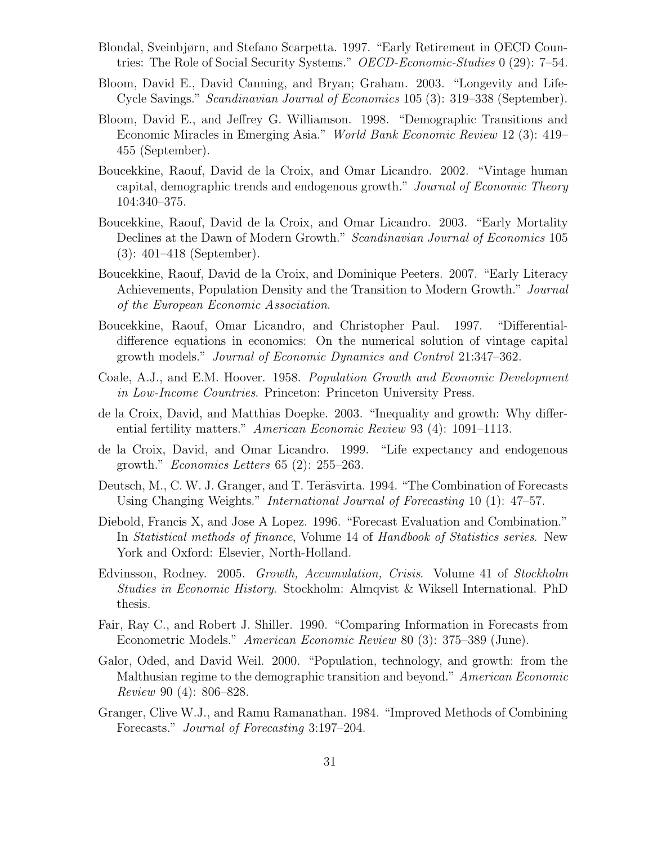- Blondal, Sveinbjørn, and Stefano Scarpetta. 1997. "Early Retirement in OECD Countries: The Role of Social Security Systems." OECD-Economic-Studies 0 (29): 7–54.
- Bloom, David E., David Canning, and Bryan; Graham. 2003. "Longevity and Life-Cycle Savings." Scandinavian Journal of Economics 105 (3): 319–338 (September).
- Bloom, David E., and Jeffrey G. Williamson. 1998. "Demographic Transitions and Economic Miracles in Emerging Asia." World Bank Economic Review 12 (3): 419– 455 (September).
- Boucekkine, Raouf, David de la Croix, and Omar Licandro. 2002. "Vintage human capital, demographic trends and endogenous growth." Journal of Economic Theory 104:340–375.
- Boucekkine, Raouf, David de la Croix, and Omar Licandro. 2003. "Early Mortality Declines at the Dawn of Modern Growth." Scandinavian Journal of Economics 105 (3): 401–418 (September).
- Boucekkine, Raouf, David de la Croix, and Dominique Peeters. 2007. "Early Literacy Achievements, Population Density and the Transition to Modern Growth." Journal of the European Economic Association.
- Boucekkine, Raouf, Omar Licandro, and Christopher Paul. 1997. "Differentialdifference equations in economics: On the numerical solution of vintage capital growth models." Journal of Economic Dynamics and Control 21:347–362.
- Coale, A.J., and E.M. Hoover. 1958. Population Growth and Economic Development in Low-Income Countries. Princeton: Princeton University Press.
- de la Croix, David, and Matthias Doepke. 2003. "Inequality and growth: Why differential fertility matters." American Economic Review 93 (4): 1091–1113.
- de la Croix, David, and Omar Licandro. 1999. "Life expectancy and endogenous growth." *Economics Letters*  $65$  (2):  $255-263$ .
- Deutsch, M., C. W. J. Granger, and T. Teräsvirta. 1994. "The Combination of Forecasts Using Changing Weights." International Journal of Forecasting 10 (1): 47–57.
- Diebold, Francis X, and Jose A Lopez. 1996. "Forecast Evaluation and Combination." In Statistical methods of finance, Volume 14 of Handbook of Statistics series. New York and Oxford: Elsevier, North-Holland.
- Edvinsson, Rodney. 2005. Growth, Accumulation, Crisis. Volume 41 of Stockholm Studies in Economic History. Stockholm: Almqvist & Wiksell International. PhD thesis.
- Fair, Ray C., and Robert J. Shiller. 1990. "Comparing Information in Forecasts from Econometric Models." American Economic Review 80 (3): 375–389 (June).
- Galor, Oded, and David Weil. 2000. "Population, technology, and growth: from the Malthusian regime to the demographic transition and beyond." American Economic Review 90 (4): 806–828.
- Granger, Clive W.J., and Ramu Ramanathan. 1984. "Improved Methods of Combining Forecasts." Journal of Forecasting 3:197–204.